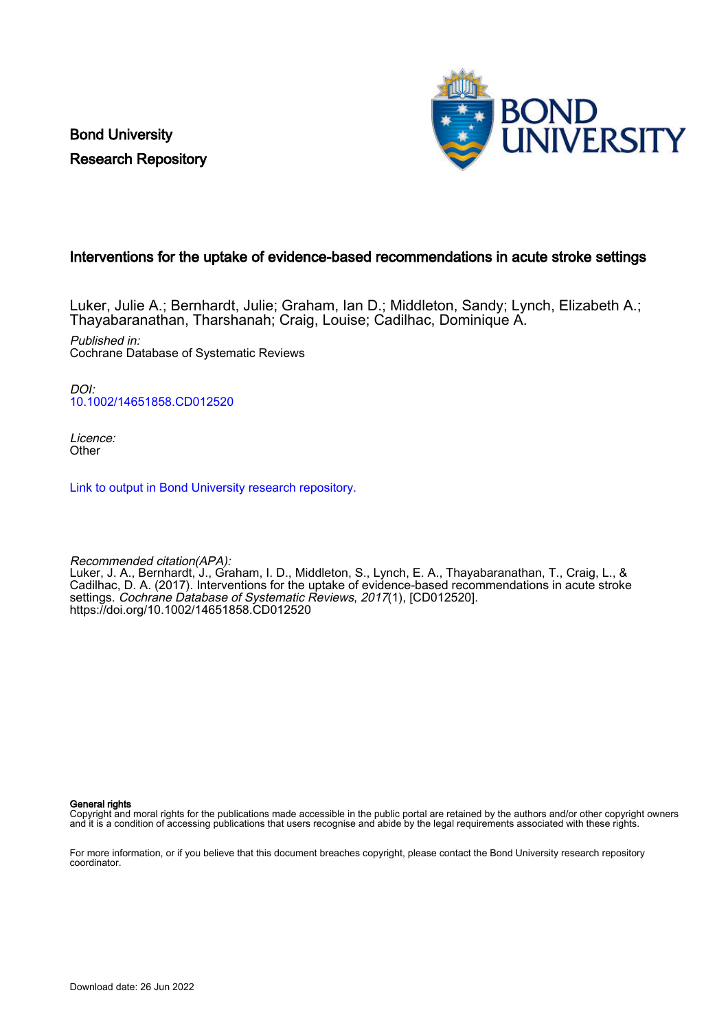Bond University Research Repository



# Interventions for the uptake of evidence-based recommendations in acute stroke settings

Luker, Julie A.; Bernhardt, Julie; Graham, Ian D.; Middleton, Sandy; Lynch, Elizabeth A.; Thayabaranathan, Tharshanah; Craig, Louise; Cadilhac, Dominique A.

Published in: Cochrane Database of Systematic Reviews

 $D$  $O$ [10.1002/14651858.CD012520](https://doi.org/10.1002/14651858.CD012520)

Licence: **Other** 

[Link to output in Bond University research repository.](https://research.bond.edu.au/en/publications/a6fccbc7-e05a-4f31-a921-8f24b4be165d)

Recommended citation(APA): Luker, J. A., Bernhardt, J., Graham, I. D., Middleton, S., Lynch, E. A., Thayabaranathan, T., Craig, L., & Cadilhac, D. A. (2017). Interventions for the uptake of evidence-based recommendations in acute stroke settings. Cochrane Database of Systematic Reviews, 2017(1), [CD012520]. <https://doi.org/10.1002/14651858.CD012520>

General rights

Copyright and moral rights for the publications made accessible in the public portal are retained by the authors and/or other copyright owners and it is a condition of accessing publications that users recognise and abide by the legal requirements associated with these rights.

For more information, or if you believe that this document breaches copyright, please contact the Bond University research repository coordinator.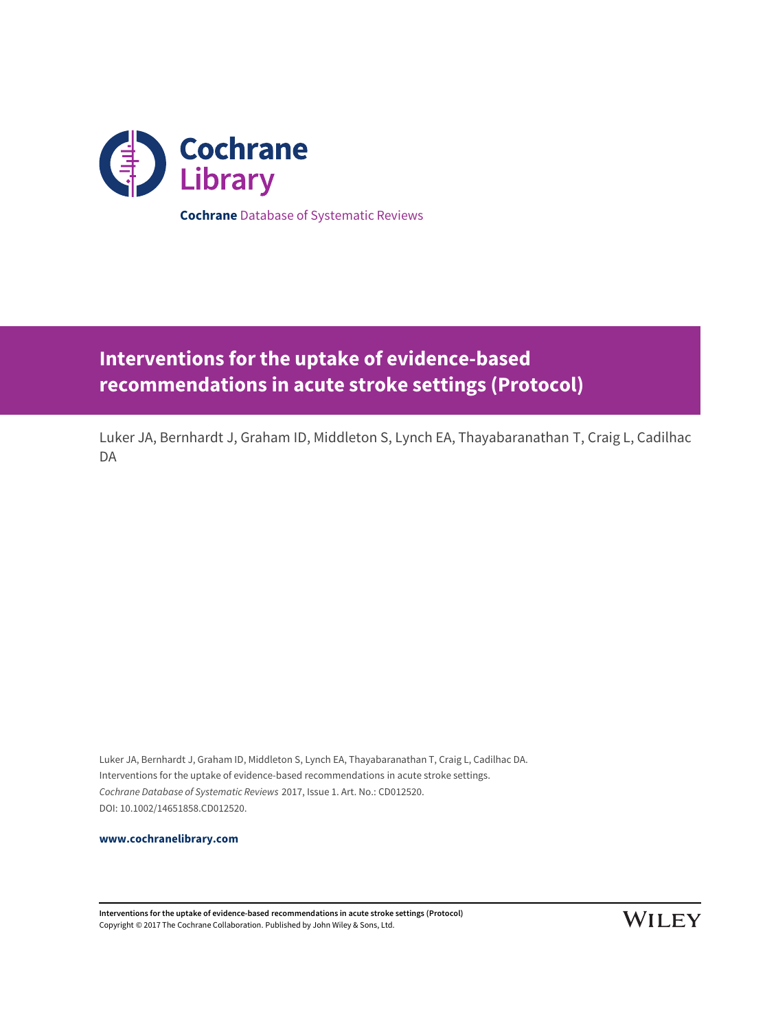

**Interventions for the uptake of evidence-based recommendations in acute stroke settings (Protocol)**

Luker JA, Bernhardt J, Graham ID, Middleton S, Lynch EA, Thayabaranathan T, Craig L, Cadilhac DA

Luker JA, Bernhardt J, Graham ID, Middleton S, Lynch EA, Thayabaranathan T, Craig L, Cadilhac DA. Interventions for the uptake of evidence-based recommendations in acute stroke settings. Cochrane Database of Systematic Reviews 2017, Issue 1. Art. No.: CD012520. DOI: 10.1002/14651858.CD012520.

**[www.cochranelibrary.com](http://www.cochranelibrary.com)**

**Interventions for the uptake of evidence-based recommendations in acute stroke settings (Protocol)** Copyright © 2017 The Cochrane Collaboration. Published by John Wiley & Sons, Ltd.

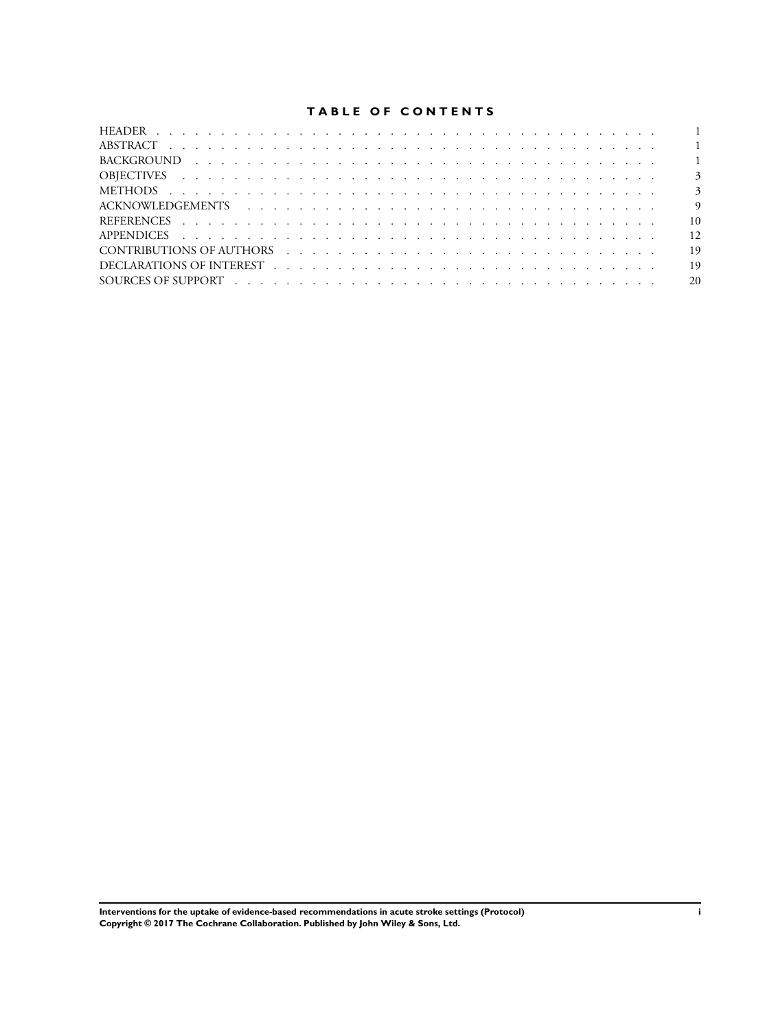# **TABLE OF CONTENTS**

|                                                     | $\sim$ 1       |
|-----------------------------------------------------|----------------|
|                                                     |                |
|                                                     |                |
|                                                     | $\overline{9}$ |
|                                                     | 10             |
|                                                     | 12             |
| CONTRIBUTIONS OF AUTHORS (CONTRIBUTIONS OF AUTHORS) | - 19           |
|                                                     | - 19           |
|                                                     |                |
|                                                     |                |

**Interventions for the uptake of evidence-based recommendations in acute stroke settings (Protocol) i Copyright © 2017 The Cochrane Collaboration. Published by John Wiley & Sons, Ltd.**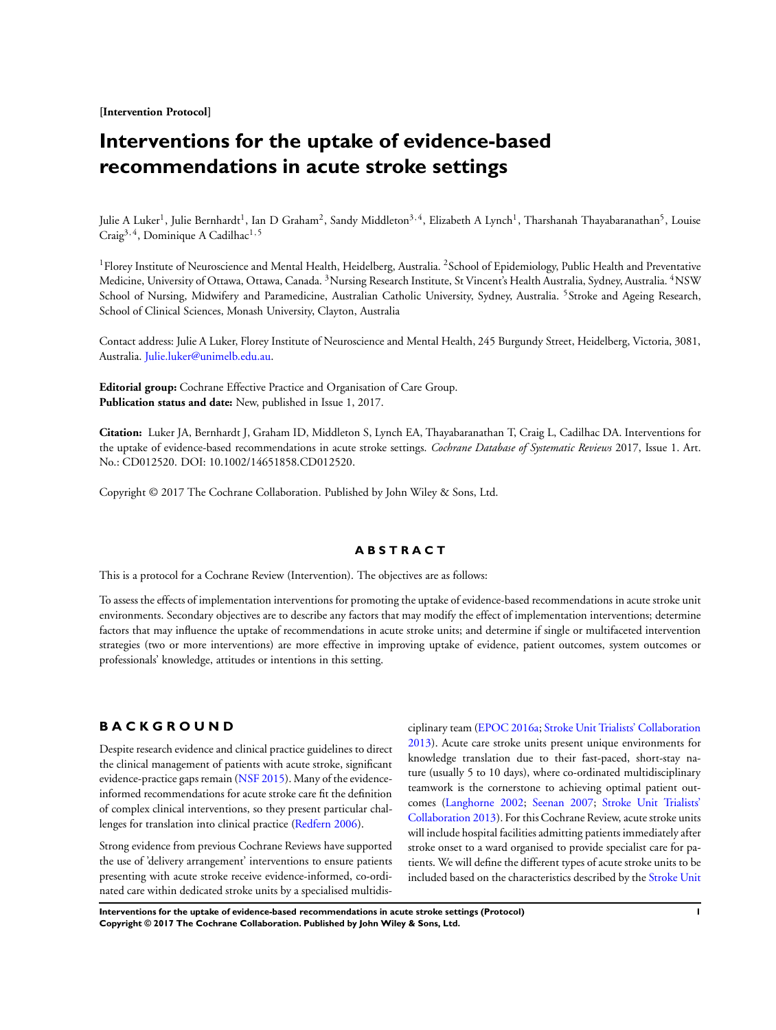<span id="page-3-0"></span>**[Intervention Protocol]**

# **Interventions for the uptake of evidence-based recommendations in acute stroke settings**

Julie A Luker<sup>1</sup>, Julie Bernhardt<sup>1</sup>, Ian D Graham<sup>2</sup>, Sandy Middleton<sup>3,4</sup>, Elizabeth A Lynch<sup>1</sup>, Tharshanah Thayabaranathan<sup>5</sup>, Louise Craig<sup>3, 4</sup>, Dominique A Cadilhac<sup>1, 5</sup>

<sup>1</sup>Florey Institute of Neuroscience and Mental Health, Heidelberg, Australia. <sup>2</sup>School of Epidemiology, Public Health and Preventative Medicine, University of Ottawa, Ottawa, Canada. <sup>3</sup>Nursing Research Institute, St Vincent's Health Australia, Sydney, Australia. <sup>4</sup>NSW School of Nursing, Midwifery and Paramedicine, Australian Catholic University, Sydney, Australia. <sup>5</sup>Stroke and Ageing Research, School of Clinical Sciences, Monash University, Clayton, Australia

Contact address: Julie A Luker, Florey Institute of Neuroscience and Mental Health, 245 Burgundy Street, Heidelberg, Victoria, 3081, Australia. [Julie.luker@unimelb.edu.au.](mailto:Julie.luker@unimelb.edu.au)

**Editorial group:** Cochrane Effective Practice and Organisation of Care Group. **Publication status and date:** New, published in Issue 1, 2017.

**Citation:** Luker JA, Bernhardt J, Graham ID, Middleton S, Lynch EA, Thayabaranathan T, Craig L, Cadilhac DA. Interventions for the uptake of evidence-based recommendations in acute stroke settings. *Cochrane Database of Systematic Reviews* 2017, Issue 1. Art. No.: CD012520. DOI: 10.1002/14651858.CD012520.

Copyright © 2017 The Cochrane Collaboration. Published by John Wiley & Sons, Ltd.

### **A B S T R A C T**

This is a protocol for a Cochrane Review (Intervention). The objectives are as follows:

To assess the effects of implementation interventions for promoting the uptake of evidence-based recommendations in acute stroke unit environments. Secondary objectives are to describe any factors that may modify the effect of implementation interventions; determine factors that may influence the uptake of recommendations in acute stroke units; and determine if single or multifaceted intervention strategies (two or more interventions) are more effective in improving uptake of evidence, patient outcomes, system outcomes or professionals' knowledge, attitudes or intentions in this setting.

### **B A C K G R O U N D**

Despite research evidence and clinical practice guidelines to direct the clinical management of patients with acute stroke, significant evidence-practice gaps remain ([NSF 2015\)](#page-12-0). Many of the evidenceinformed recommendations for acute stroke care fit the definition of complex clinical interventions, so they present particular challenges for translation into clinical practice [\(Redfern 2006](#page-12-0)).

Strong evidence from previous Cochrane Reviews have supported the use of 'delivery arrangement' interventions to ensure patients presenting with acute stroke receive evidence-informed, co-ordinated care within dedicated stroke units by a specialised multidis-

ciplinary team ([EPOC 2016a;](#page-12-0) [Stroke Unit Trialists' Collaboration](#page-12-0) [2013](#page-12-0)). Acute care stroke units present unique environments for knowledge translation due to their fast-paced, short-stay nature (usually 5 to 10 days), where co-ordinated multidisciplinary teamwork is the cornerstone to achieving optimal patient outcomes ([Langhorne 2002](#page-12-0); [Seenan 2007;](#page-12-0) [Stroke Unit Trialists'](#page-12-0) [Collaboration 2013](#page-12-0)). For this Cochrane Review, acute stroke units will include hospital facilities admitting patients immediately after stroke onset to a ward organised to provide specialist care for patients. We will define the different types of acute stroke units to be included based on the characteristics described by the [Stroke Unit](#page-12-0)

**Interventions for the uptake of evidence-based recommendations in acute stroke settings (Protocol) 1 Copyright © 2017 The Cochrane Collaboration. Published by John Wiley & Sons, Ltd.**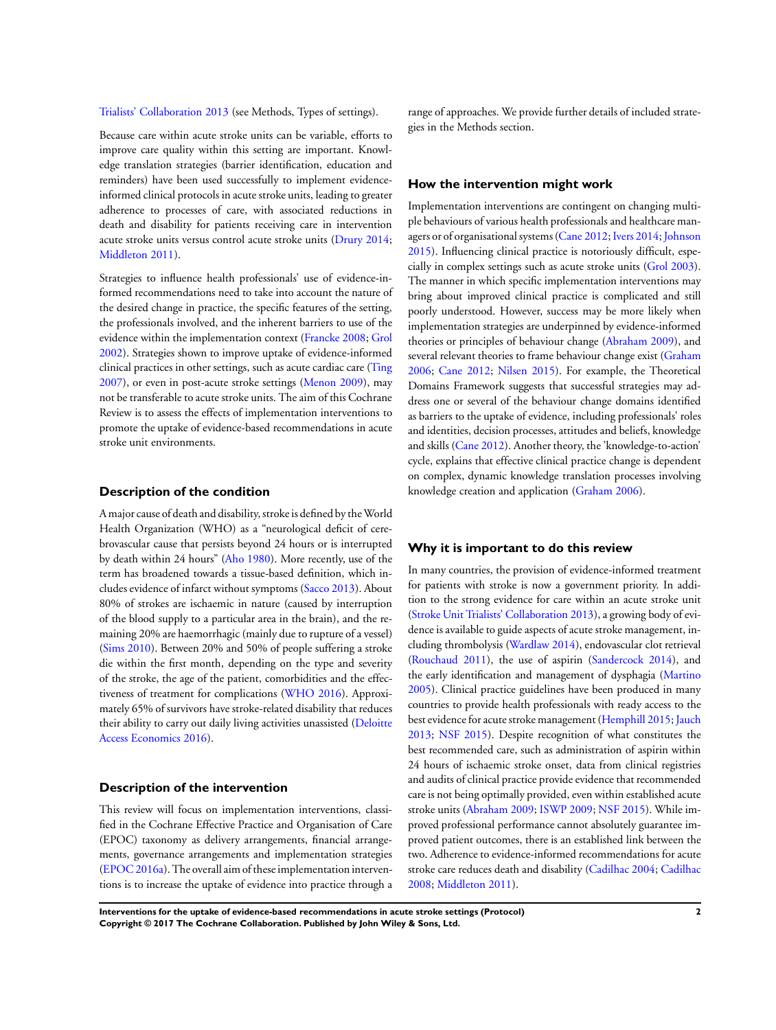[Trialists' Collaboration 2013](#page-12-0) (see Methods, Types of settings).

Because care within acute stroke units can be variable, efforts to improve care quality within this setting are important. Knowledge translation strategies (barrier identification, education and reminders) have been used successfully to implement evidenceinformed clinical protocols in acute stroke units, leading to greater adherence to processes of care, with associated reductions in death and disability for patients receiving care in intervention acute stroke units versus control acute stroke units ([Drury 2014;](#page-12-0) [Middleton 2011\)](#page-12-0).

Strategies to influence health professionals' use of evidence-informed recommendations need to take into account the nature of the desired change in practice, the specific features of the setting, the professionals involved, and the inherent barriers to use of the evidence within the implementation context ([Francke 2008;](#page-12-0) [Grol](#page-12-0) [2002](#page-12-0)). Strategies shown to improve uptake of evidence-informed clinical practices in other settings, such as acute cardiac care ([Ting](#page-12-0) [2007](#page-12-0)), or even in post-acute stroke settings ([Menon 2009\)](#page-12-0), may not be transferable to acute stroke units. The aim of this Cochrane Review is to assess the effects of implementation interventions to promote the uptake of evidence-based recommendations in acute stroke unit environments.

### **Description of the condition**

A major cause of death and disability, stroke is defined by theWorld Health Organization (WHO) as a "neurological deficit of cerebrovascular cause that persists beyond 24 hours or is interrupted by death within 24 hours" ([Aho 1980\)](#page-12-0). More recently, use of the term has broadened towards a tissue-based definition, which includes evidence of infarct without symptoms [\(Sacco 2013\)](#page-12-0). About 80% of strokes are ischaemic in nature (caused by interruption of the blood supply to a particular area in the brain), and the remaining 20% are haemorrhagic (mainly due to rupture of a vessel) [\(Sims 2010\)](#page-12-0). Between 20% and 50% of people suffering a stroke die within the first month, depending on the type and severity of the stroke, the age of the patient, comorbidities and the effectiveness of treatment for complications ([WHO 2016](#page-12-0)). Approximately 65% of survivors have stroke-related disability that reduces their ability to carry out daily living activities unassisted ([Deloitte](#page-12-0) [Access Economics 2016](#page-12-0)).

### **Description of the intervention**

This review will focus on implementation interventions, classified in the Cochrane Effective Practice and Organisation of Care (EPOC) taxonomy as delivery arrangements, financial arrangements, governance arrangements and implementation strategies [\(EPOC 2016a\)](#page-12-0). The overall aim of these implementation interventions is to increase the uptake of evidence into practice through a

range of approaches. We provide further details of included strategies in the Methods section.

### **How the intervention might work**

Implementation interventions are contingent on changing multiple behaviours of various health professionals and healthcare managers or of organisational systems (Cane 2012; Ivers 2014; Johnson [2015](#page-12-0)). Influencing clinical practice is notoriously difficult, especially in complex settings such as acute stroke units ([Grol 2003](#page-12-0)). The manner in which specific implementation interventions may bring about improved clinical practice is complicated and still poorly understood. However, success may be more likely when implementation strategies are underpinned by evidence-informed theories or principles of behaviour change [\(Abraham 2009\)](#page-12-0), and several relevant theories to frame behaviour change exist ([Graham](#page-12-0) [2006](#page-12-0); [Cane 2012;](#page-12-0) [Nilsen 2015](#page-12-0)). For example, the Theoretical Domains Framework suggests that successful strategies may address one or several of the behaviour change domains identified as barriers to the uptake of evidence, including professionals' roles and identities, decision processes, attitudes and beliefs, knowledge and skills [\(Cane 2012](#page-12-0)). Another theory, the 'knowledge-to-action' cycle, explains that effective clinical practice change is dependent on complex, dynamic knowledge translation processes involving knowledge creation and application ([Graham 2006\)](#page-12-0).

#### **Why it is important to do this review**

In many countries, the provision of evidence-informed treatment for patients with stroke is now a government priority. In addition to the strong evidence for care within an acute stroke unit [\(Stroke Unit Trialists' Collaboration 2013](#page-12-0)), a growing body of evidence is available to guide aspects of acute stroke management, including thrombolysis [\(Wardlaw 2014\)](#page-12-0), endovascular clot retrieval [\(Rouchaud 2011\)](#page-12-0), the use of aspirin [\(Sandercock 2014](#page-12-0)), and the early identification and management of dysphagia [\(Martino](#page-12-0) [2005](#page-12-0)). Clinical practice guidelines have been produced in many countries to provide health professionals with ready access to the best evidence for acute stroke management ([Hemphill 2015](#page-12-0); [Jauch](#page-12-0) [2013](#page-12-0); [NSF 2015](#page-12-0)). Despite recognition of what constitutes the best recommended care, such as administration of aspirin within 24 hours of ischaemic stroke onset, data from clinical registries and audits of clinical practice provide evidence that recommended care is not being optimally provided, even within established acute stroke units [\(Abraham 2009](#page-12-0); [ISWP 2009](#page-12-0); [NSF 2015\)](#page-12-0). While improved professional performance cannot absolutely guarantee improved patient outcomes, there is an established link between the two. Adherence to evidence-informed recommendations for acute stroke care reduces death and disability [\(Cadilhac 2004](#page-12-0); [Cadilhac](#page-12-0) [2008](#page-12-0); [Middleton 2011](#page-12-0)).

**Interventions for the uptake of evidence-based recommendations in acute stroke settings (Protocol) 2 Copyright © 2017 The Cochrane Collaboration. Published by John Wiley & Sons, Ltd.**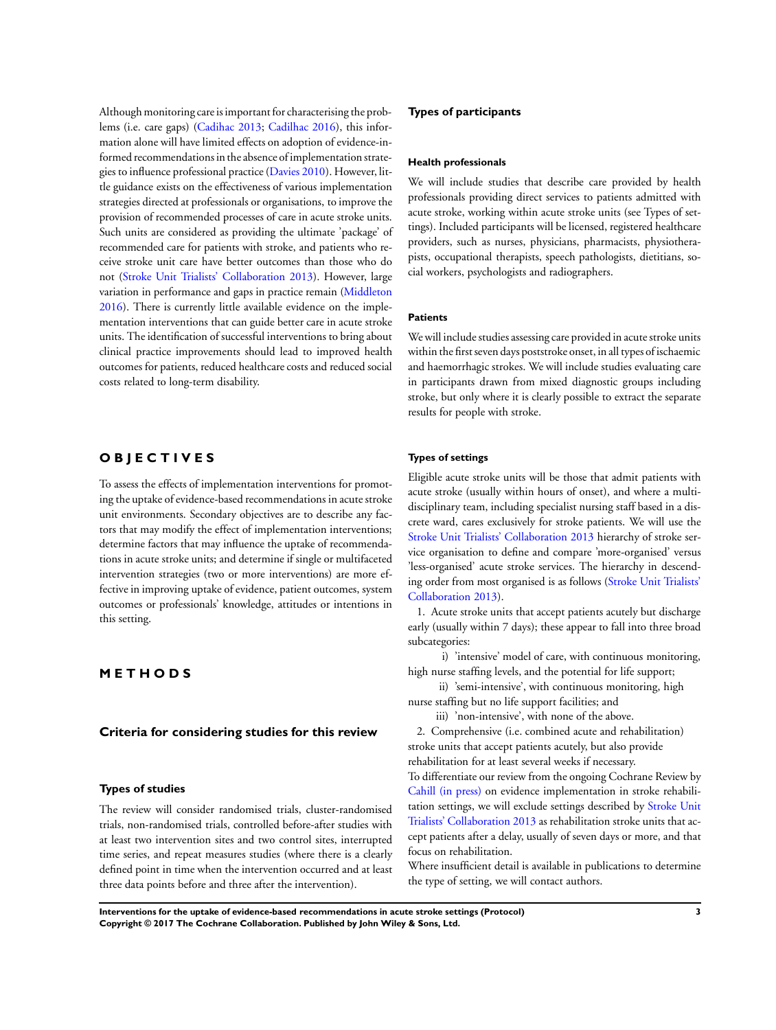Although monitoring care is important for characterising the problems (i.e. care gaps) [\(Cadihac 2013;](#page-12-0) [Cadilhac 2016\)](#page-12-0), this information alone will have limited effects on adoption of evidence-informed recommendations in the absence of implementation strategies to influence professional practice ([Davies 2010\)](#page-12-0). However, little guidance exists on the effectiveness of various implementation strategies directed at professionals or organisations, to improve the provision of recommended processes of care in acute stroke units. Such units are considered as providing the ultimate 'package' of recommended care for patients with stroke, and patients who receive stroke unit care have better outcomes than those who do not [\(Stroke Unit Trialists' Collaboration 2013](#page-12-0)). However, large variation in performance and gaps in practice remain [\(Middleton](#page-12-0) [2016](#page-12-0)). There is currently little available evidence on the implementation interventions that can guide better care in acute stroke units. The identification of successful interventions to bring about clinical practice improvements should lead to improved health outcomes for patients, reduced healthcare costs and reduced social costs related to long-term disability.

### **O B J E C T I V E S**

To assess the effects of implementation interventions for promoting the uptake of evidence-based recommendations in acute stroke unit environments. Secondary objectives are to describe any factors that may modify the effect of implementation interventions; determine factors that may influence the uptake of recommendations in acute stroke units; and determine if single or multifaceted intervention strategies (two or more interventions) are more effective in improving uptake of evidence, patient outcomes, system outcomes or professionals' knowledge, attitudes or intentions in this setting.

# **M E T H O D S**

#### **Criteria for considering studies for this review**

#### **Types of studies**

The review will consider randomised trials, cluster-randomised trials, non-randomised trials, controlled before-after studies with at least two intervention sites and two control sites, interrupted time series, and repeat measures studies (where there is a clearly defined point in time when the intervention occurred and at least three data points before and three after the intervention).

#### **Types of participants**

**Health professionals**

We will include studies that describe care provided by health professionals providing direct services to patients admitted with acute stroke, working within acute stroke units (see Types of settings). Included participants will be licensed, registered healthcare providers, such as nurses, physicians, pharmacists, physiotherapists, occupational therapists, speech pathologists, dietitians, social workers, psychologists and radiographers.

### **Patients**

We will include studies assessing care provided in acute stroke units within the first seven days poststroke onset, in all types of ischaemic and haemorrhagic strokes. We will include studies evaluating care in participants drawn from mixed diagnostic groups including stroke, but only where it is clearly possible to extract the separate results for people with stroke.

#### **Types of settings**

Eligible acute stroke units will be those that admit patients with acute stroke (usually within hours of onset), and where a multidisciplinary team, including specialist nursing staff based in a discrete ward, cares exclusively for stroke patients. We will use the [Stroke Unit Trialists' Collaboration 2013](#page-12-0) hierarchy of stroke service organisation to define and compare 'more-organised' versus 'less-organised' acute stroke services. The hierarchy in descending order from most organised is as follows ([Stroke Unit Trialists'](#page-12-0) [Collaboration 2013\)](#page-12-0).

1. Acute stroke units that accept patients acutely but discharge early (usually within 7 days); these appear to fall into three broad subcategories:

i) 'intensive' model of care, with continuous monitoring, high nurse staffing levels, and the potential for life support;

ii) 'semi-intensive', with continuous monitoring, high nurse staffing but no life support facilities; and

iii) 'non-intensive', with none of the above.

2. Comprehensive (i.e. combined acute and rehabilitation) stroke units that accept patients acutely, but also provide rehabilitation for at least several weeks if necessary. To differentiate our review from the ongoing Cochrane Review by [Cahill \(in press\)](#page-12-0) on evidence implementation in stroke rehabilitation settings, we will exclude settings described by [Stroke Unit](#page-12-0) [Trialists' Collaboration 2013](#page-12-0) as rehabilitation stroke units that accept patients after a delay, usually of seven days or more, and that focus on rehabilitation.

Where insufficient detail is available in publications to determine the type of setting, we will contact authors.

**Interventions for the uptake of evidence-based recommendations in acute stroke settings (Protocol) 3 Copyright © 2017 The Cochrane Collaboration. Published by John Wiley & Sons, Ltd.**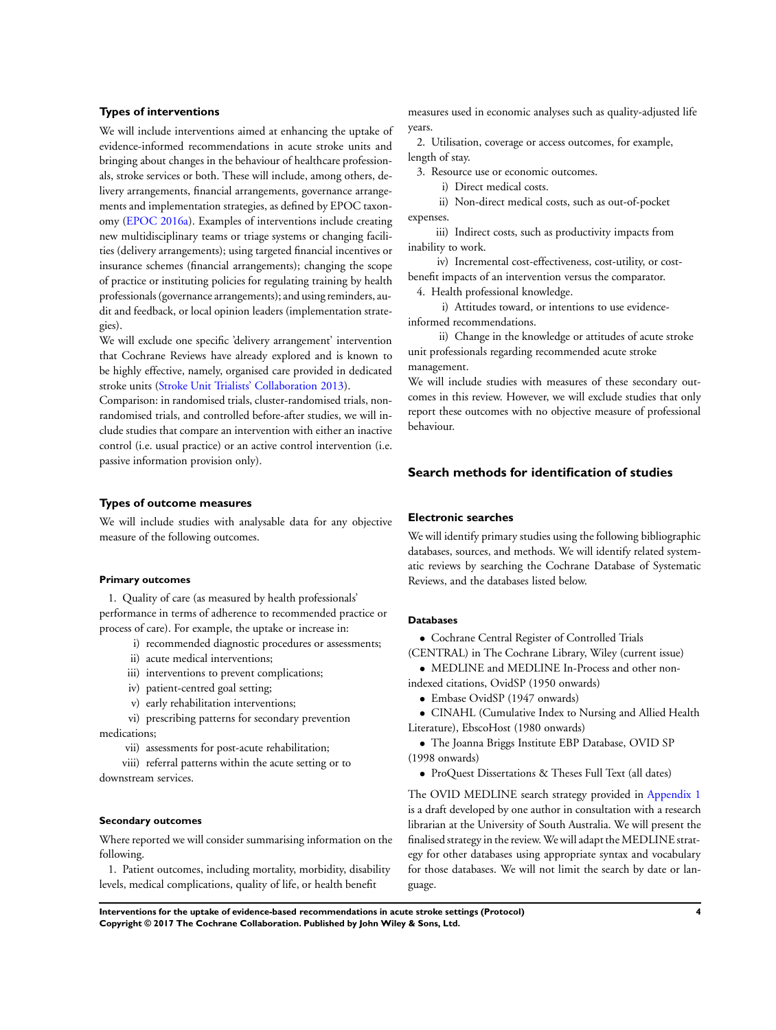#### **Types of interventions**

We will include interventions aimed at enhancing the uptake of evidence-informed recommendations in acute stroke units and bringing about changes in the behaviour of healthcare professionals, stroke services or both. These will include, among others, delivery arrangements, financial arrangements, governance arrangements and implementation strategies, as defined by EPOC taxonomy ([EPOC 2016a\)](#page-12-0). Examples of interventions include creating new multidisciplinary teams or triage systems or changing facilities (delivery arrangements); using targeted financial incentives or insurance schemes (financial arrangements); changing the scope of practice or instituting policies for regulating training by health professionals (governance arrangements); and using reminders, audit and feedback, or local opinion leaders (implementation strategies).

We will exclude one specific 'delivery arrangement' intervention that Cochrane Reviews have already explored and is known to be highly effective, namely, organised care provided in dedicated stroke units ([Stroke Unit Trialists' Collaboration 2013](#page-12-0)).

Comparison: in randomised trials, cluster-randomised trials, nonrandomised trials, and controlled before-after studies, we will include studies that compare an intervention with either an inactive control (i.e. usual practice) or an active control intervention (i.e. passive information provision only).

#### **Types of outcome measures**

We will include studies with analysable data for any objective measure of the following outcomes.

#### **Primary outcomes**

1. Quality of care (as measured by health professionals' performance in terms of adherence to recommended practice or process of care). For example, the uptake or increase in:

- i) recommended diagnostic procedures or assessments;
- ii) acute medical interventions;
- iii) interventions to prevent complications;
- iv) patient-centred goal setting;
- v) early rehabilitation interventions;

vi) prescribing patterns for secondary prevention medications;

vii) assessments for post-acute rehabilitation;

viii) referral patterns within the acute setting or to downstream services.

#### **Secondary outcomes**

Where reported we will consider summarising information on the following.

1. Patient outcomes, including mortality, morbidity, disability levels, medical complications, quality of life, or health benefit

measures used in economic analyses such as quality-adjusted life years.

2. Utilisation, coverage or access outcomes, for example, length of stay.

3. Resource use or economic outcomes.

i) Direct medical costs.

ii) Non-direct medical costs, such as out-of-pocket expenses.

iii) Indirect costs, such as productivity impacts from inability to work.

iv) Incremental cost-effectiveness, cost-utility, or costbenefit impacts of an intervention versus the comparator.

4. Health professional knowledge.

i) Attitudes toward, or intentions to use evidenceinformed recommendations.

ii) Change in the knowledge or attitudes of acute stroke unit professionals regarding recommended acute stroke management.

We will include studies with measures of these secondary outcomes in this review. However, we will exclude studies that only report these outcomes with no objective measure of professional behaviour.

# **Search methods for identification of studies**

#### **Electronic searches**

We will identify primary studies using the following bibliographic databases, sources, and methods. We will identify related systematic reviews by searching the Cochrane Database of Systematic Reviews, and the databases listed below.

#### **Databases**

• Cochrane Central Register of Controlled Trials

(CENTRAL) in The Cochrane Library, Wiley (current issue)

• MEDLINE and MEDLINE In-Process and other non-

- indexed citations, OvidSP (1950 onwards)
	- Embase OvidSP (1947 onwards)
- CINAHL (Cumulative Index to Nursing and Allied Health Literature), EbscoHost (1980 onwards)
- The Joanna Briggs Institute EBP Database, OVID SP (1998 onwards)
	- ProQuest Dissertations & Theses Full Text (all dates)

The OVID MEDLINE search strategy provided in [Appendix 1](#page-15-0) is a draft developed by one author in consultation with a research librarian at the University of South Australia. We will present the finalised strategy in the review. We will adapt the MEDLINE strategy for other databases using appropriate syntax and vocabulary for those databases. We will not limit the search by date or language.

**Interventions for the uptake of evidence-based recommendations in acute stroke settings (Protocol) 4 Copyright © 2017 The Cochrane Collaboration. Published by John Wiley & Sons, Ltd.**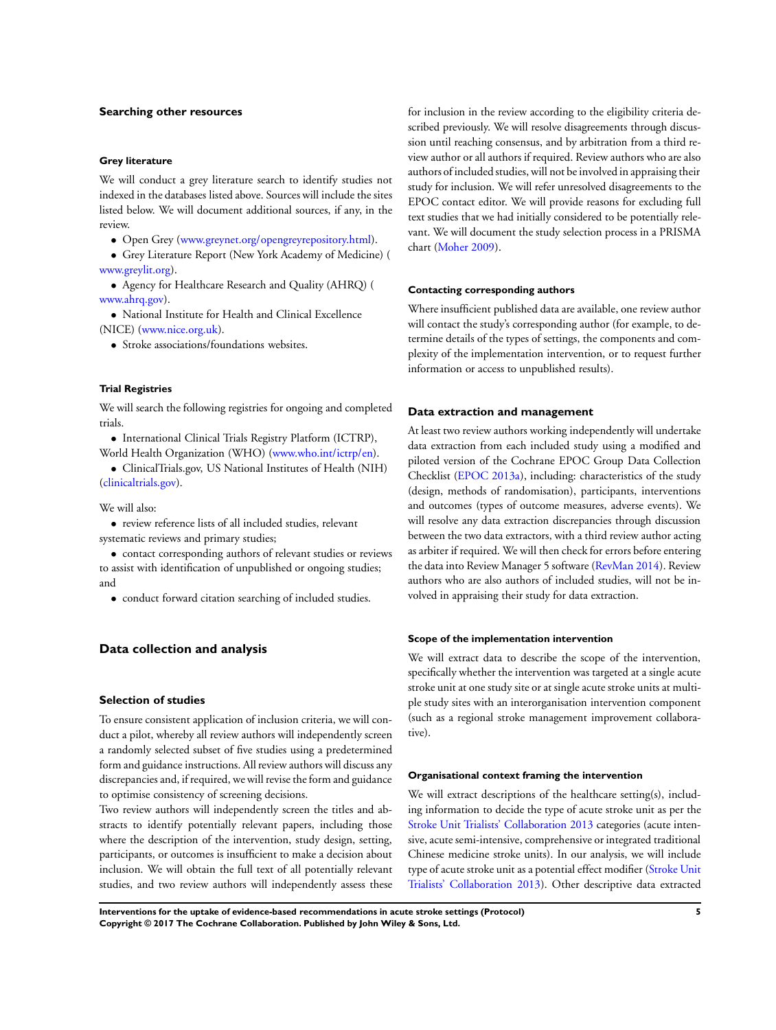### **Searching other resources**

#### **Grey literature**

We will conduct a grey literature search to identify studies not indexed in the databases listed above. Sources will include the sites listed below. We will document additional sources, if any, in the review.

• Open Grey ([www.greynet.org/opengreyrepository.html\)](http://www.greynet.org/opengreyrepository.html).

• Grey Literature Report (New York Academy of Medicine) ( [www.greylit.org\)](http://www.greylit.org/).

• Agency for Healthcare Research and Quality (AHRQ) ( [www.ahrq.gov\)](http://www.ahrq.gov/).

• National Institute for Health and Clinical Excellence (NICE) ([www.nice.org.uk](http://www.nice.org.uk/)).

• Stroke associations/foundations websites.

### **Trial Registries**

We will search the following registries for ongoing and completed trials.

• International Clinical Trials Registry Platform (ICTRP), World Health Organization (WHO) [\(www.who.int/ictrp/en](http://www.who.int/ictrp/en/)).

• ClinicalTrials.gov, US National Institutes of Health (NIH) [\(clinicaltrials.gov](http://clinicaltrials.gov/)).

We will also:

• review reference lists of all included studies, relevant systematic reviews and primary studies;

• contact corresponding authors of relevant studies or reviews to assist with identification of unpublished or ongoing studies; and

• conduct forward citation searching of included studies.

### **Data collection and analysis**

#### **Selection of studies**

To ensure consistent application of inclusion criteria, we will conduct a pilot, whereby all review authors will independently screen a randomly selected subset of five studies using a predetermined form and guidance instructions. All review authors will discuss any discrepancies and, if required, we will revise the form and guidance to optimise consistency of screening decisions.

Two review authors will independently screen the titles and abstracts to identify potentially relevant papers, including those where the description of the intervention, study design, setting, participants, or outcomes is insufficient to make a decision about inclusion. We will obtain the full text of all potentially relevant studies, and two review authors will independently assess these for inclusion in the review according to the eligibility criteria described previously. We will resolve disagreements through discussion until reaching consensus, and by arbitration from a third review author or all authors if required. Review authors who are also authors of included studies, will not be involved in appraising their study for inclusion. We will refer unresolved disagreements to the EPOC contact editor. We will provide reasons for excluding full text studies that we had initially considered to be potentially relevant. We will document the study selection process in a PRISMA chart [\(Moher 2009\)](#page-12-0).

#### **Contacting corresponding authors**

Where insufficient published data are available, one review author will contact the study's corresponding author (for example, to determine details of the types of settings, the components and complexity of the implementation intervention, or to request further information or access to unpublished results).

#### **Data extraction and management**

At least two review authors working independently will undertake data extraction from each included study using a modified and piloted version of the Cochrane EPOC Group Data Collection Checklist [\(EPOC 2013a](#page-12-0)), including: characteristics of the study (design, methods of randomisation), participants, interventions and outcomes (types of outcome measures, adverse events). We will resolve any data extraction discrepancies through discussion between the two data extractors, with a third review author acting as arbiter if required. We will then check for errors before entering the data into Review Manager 5 software ([RevMan 2014](#page-12-0)). Review authors who are also authors of included studies, will not be involved in appraising their study for data extraction.

### **Scope of the implementation intervention**

We will extract data to describe the scope of the intervention, specifically whether the intervention was targeted at a single acute stroke unit at one study site or at single acute stroke units at multiple study sites with an interorganisation intervention component (such as a regional stroke management improvement collaborative).

#### **Organisational context framing the intervention**

We will extract descriptions of the healthcare setting(s), including information to decide the type of acute stroke unit as per the [Stroke Unit Trialists' Collaboration 2013](#page-12-0) categories (acute intensive, acute semi-intensive, comprehensive or integrated traditional Chinese medicine stroke units). In our analysis, we will include type of acute stroke unit as a potential effect modifier [\(Stroke Unit](#page-12-0) [Trialists' Collaboration 2013](#page-12-0)). Other descriptive data extracted

**Interventions for the uptake of evidence-based recommendations in acute stroke settings (Protocol) 5 Copyright © 2017 The Cochrane Collaboration. Published by John Wiley & Sons, Ltd.**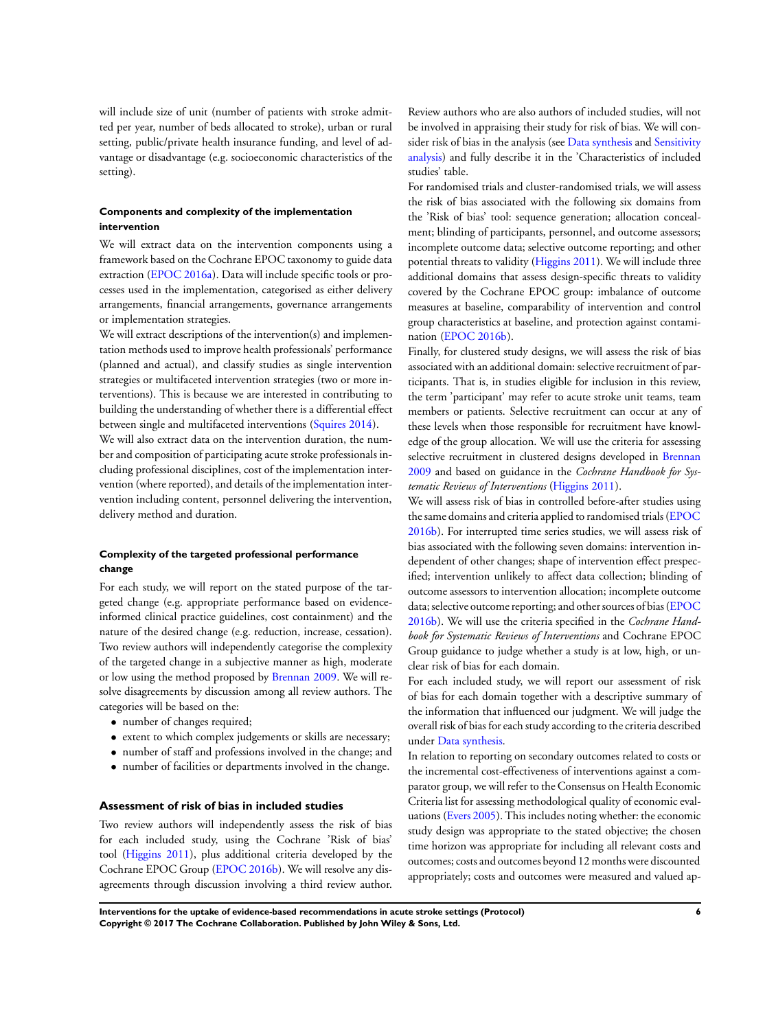will include size of unit (number of patients with stroke admitted per year, number of beds allocated to stroke), urban or rural setting, public/private health insurance funding, and level of advantage or disadvantage (e.g. socioeconomic characteristics of the setting).

### **Components and complexity of the implementation intervention**

We will extract data on the intervention components using a framework based on the Cochrane EPOC taxonomy to guide data extraction ([EPOC 2016a\)](#page-12-0). Data will include specific tools or processes used in the implementation, categorised as either delivery arrangements, financial arrangements, governance arrangements or implementation strategies.

We will extract descriptions of the intervention(s) and implementation methods used to improve health professionals' performance (planned and actual), and classify studies as single intervention strategies or multifaceted intervention strategies (two or more interventions). This is because we are interested in contributing to building the understanding of whether there is a differential effect between single and multifaceted interventions ([Squires 2014\)](#page-12-0). We will also extract data on the intervention duration, the number and composition of participating acute stroke professionals including professional disciplines, cost of the implementation intervention (where reported), and details of the implementation intervention including content, personnel delivering the intervention, delivery method and duration.

### **Complexity of the targeted professional performance change**

For each study, we will report on the stated purpose of the targeted change (e.g. appropriate performance based on evidenceinformed clinical practice guidelines, cost containment) and the nature of the desired change (e.g. reduction, increase, cessation). Two review authors will independently categorise the complexity of the targeted change in a subjective manner as high, moderate or low using the method proposed by [Brennan 2009.](#page-12-0) We will resolve disagreements by discussion among all review authors. The categories will be based on the:

- number of changes required;
- extent to which complex judgements or skills are necessary;
- number of staff and professions involved in the change; and
- number of facilities or departments involved in the change.

#### **Assessment of risk of bias in included studies**

Two review authors will independently assess the risk of bias for each included study, using the Cochrane 'Risk of bias' tool ([Higgins 2011\)](#page-12-0), plus additional criteria developed by the Cochrane EPOC Group [\(EPOC 2016b\)](#page-12-0). We will resolve any disagreements through discussion involving a third review author.

Review authors who are also authors of included studies, will not be involved in appraising their study for risk of bias. We will consider risk of bias in the analysis (see [Data synthesis](#page-3-0) and [Sensitivity](#page-3-0) [analysis](#page-3-0)) and fully describe it in the 'Characteristics of included studies' table.

For randomised trials and cluster-randomised trials, we will assess the risk of bias associated with the following six domains from the 'Risk of bias' tool: sequence generation; allocation concealment; blinding of participants, personnel, and outcome assessors; incomplete outcome data; selective outcome reporting; and other potential threats to validity ([Higgins 2011](#page-12-0)). We will include three additional domains that assess design-specific threats to validity covered by the Cochrane EPOC group: imbalance of outcome measures at baseline, comparability of intervention and control group characteristics at baseline, and protection against contamination ([EPOC 2016b](#page-12-0)).

Finally, for clustered study designs, we will assess the risk of bias associated with an additional domain: selective recruitment of participants. That is, in studies eligible for inclusion in this review, the term 'participant' may refer to acute stroke unit teams, team members or patients. Selective recruitment can occur at any of these levels when those responsible for recruitment have knowledge of the group allocation. We will use the criteria for assessing selective recruitment in clustered designs developed in [Brennan](#page-12-0) [2009](#page-12-0) and based on guidance in the *Cochrane Handbook for Systematic Reviews of Interventions* ([Higgins 2011](#page-12-0)).

We will assess risk of bias in controlled before-after studies using the same domains and criteria applied to randomised trials ([EPOC](#page-12-0) [2016b\)](#page-12-0). For interrupted time series studies, we will assess risk of bias associated with the following seven domains: intervention independent of other changes; shape of intervention effect prespecified; intervention unlikely to affect data collection; blinding of outcome assessors to intervention allocation; incomplete outcome data; selective outcome reporting; and other sources of bias [\(EPOC](#page-12-0) [2016b\)](#page-12-0). We will use the criteria specified in the *Cochrane Handbook for Systematic Reviews of Interventions* and Cochrane EPOC Group guidance to judge whether a study is at low, high, or unclear risk of bias for each domain.

For each included study, we will report our assessment of risk of bias for each domain together with a descriptive summary of the information that influenced our judgment. We will judge the overall risk of bias for each study according to the criteria described under [Data synthesis.](#page-3-0)

In relation to reporting on secondary outcomes related to costs or the incremental cost-effectiveness of interventions against a comparator group, we will refer to the Consensus on Health Economic Criteria list for assessing methodological quality of economic evaluations [\(Evers 2005](#page-12-0)). This includes noting whether: the economic study design was appropriate to the stated objective; the chosen time horizon was appropriate for including all relevant costs and outcomes; costs and outcomes beyond 12 months were discounted appropriately; costs and outcomes were measured and valued ap-

**Interventions for the uptake of evidence-based recommendations in acute stroke settings (Protocol) 6 Copyright © 2017 The Cochrane Collaboration. Published by John Wiley & Sons, Ltd.**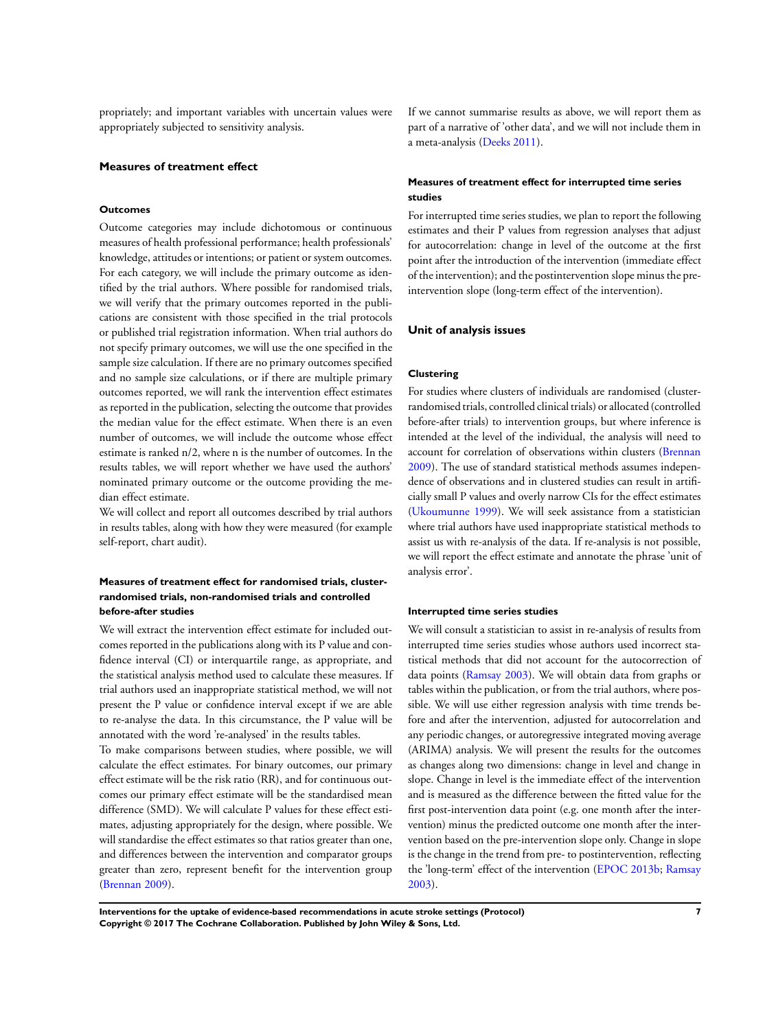propriately; and important variables with uncertain values were appropriately subjected to sensitivity analysis.

#### **Measures of treatment effect**

#### **Outcomes**

Outcome categories may include dichotomous or continuous measures of health professional performance; health professionals' knowledge, attitudes or intentions; or patient or system outcomes. For each category, we will include the primary outcome as identified by the trial authors. Where possible for randomised trials, we will verify that the primary outcomes reported in the publications are consistent with those specified in the trial protocols or published trial registration information. When trial authors do not specify primary outcomes, we will use the one specified in the sample size calculation. If there are no primary outcomes specified and no sample size calculations, or if there are multiple primary outcomes reported, we will rank the intervention effect estimates as reported in the publication, selecting the outcome that provides the median value for the effect estimate. When there is an even number of outcomes, we will include the outcome whose effect estimate is ranked n/2, where n is the number of outcomes. In the results tables, we will report whether we have used the authors' nominated primary outcome or the outcome providing the median effect estimate.

We will collect and report all outcomes described by trial authors in results tables, along with how they were measured (for example self-report, chart audit).

### **Measures of treatment effect for randomised trials, clusterrandomised trials, non-randomised trials and controlled before-after studies**

We will extract the intervention effect estimate for included outcomes reported in the publications along with its P value and confidence interval (CI) or interquartile range, as appropriate, and the statistical analysis method used to calculate these measures. If trial authors used an inappropriate statistical method, we will not present the P value or confidence interval except if we are able to re-analyse the data. In this circumstance, the P value will be annotated with the word 're-analysed' in the results tables.

To make comparisons between studies, where possible, we will calculate the effect estimates. For binary outcomes, our primary effect estimate will be the risk ratio (RR), and for continuous outcomes our primary effect estimate will be the standardised mean difference (SMD). We will calculate P values for these effect estimates, adjusting appropriately for the design, where possible. We will standardise the effect estimates so that ratios greater than one, and differences between the intervention and comparator groups greater than zero, represent benefit for the intervention group [\(Brennan 2009\)](#page-12-0).

If we cannot summarise results as above, we will report them as part of a narrative of 'other data', and we will not include them in a meta-analysis [\(Deeks 2011\)](#page-12-0).

### **Measures of treatment effect for interrupted time series studies**

For interrupted time series studies, we plan to report the following estimates and their P values from regression analyses that adjust for autocorrelation: change in level of the outcome at the first point after the introduction of the intervention (immediate effect of the intervention); and the postintervention slope minus the preintervention slope (long-term effect of the intervention).

#### **Unit of analysis issues**

#### **Clustering**

For studies where clusters of individuals are randomised (clusterrandomised trials, controlled clinical trials) or allocated (controlled before-after trials) to intervention groups, but where inference is intended at the level of the individual, the analysis will need to account for correlation of observations within clusters ([Brennan](#page-12-0) [2009](#page-12-0)). The use of standard statistical methods assumes independence of observations and in clustered studies can result in artificially small P values and overly narrow CIs for the effect estimates [\(Ukoumunne 1999\)](#page-12-0). We will seek assistance from a statistician where trial authors have used inappropriate statistical methods to assist us with re-analysis of the data. If re-analysis is not possible, we will report the effect estimate and annotate the phrase 'unit of analysis error'.

#### **Interrupted time series studies**

We will consult a statistician to assist in re-analysis of results from interrupted time series studies whose authors used incorrect statistical methods that did not account for the autocorrection of data points ([Ramsay 2003\)](#page-12-0). We will obtain data from graphs or tables within the publication, or from the trial authors, where possible. We will use either regression analysis with time trends before and after the intervention, adjusted for autocorrelation and any periodic changes, or autoregressive integrated moving average (ARIMA) analysis. We will present the results for the outcomes as changes along two dimensions: change in level and change in slope. Change in level is the immediate effect of the intervention and is measured as the difference between the fitted value for the first post-intervention data point (e.g. one month after the intervention) minus the predicted outcome one month after the intervention based on the pre-intervention slope only. Change in slope is the change in the trend from pre- to postintervention, reflecting the 'long-term' effect of the intervention [\(EPOC 2013b;](#page-12-0) [Ramsay](#page-12-0) [2003](#page-12-0)).

**Interventions for the uptake of evidence-based recommendations in acute stroke settings (Protocol) 7 Copyright © 2017 The Cochrane Collaboration. Published by John Wiley & Sons, Ltd.**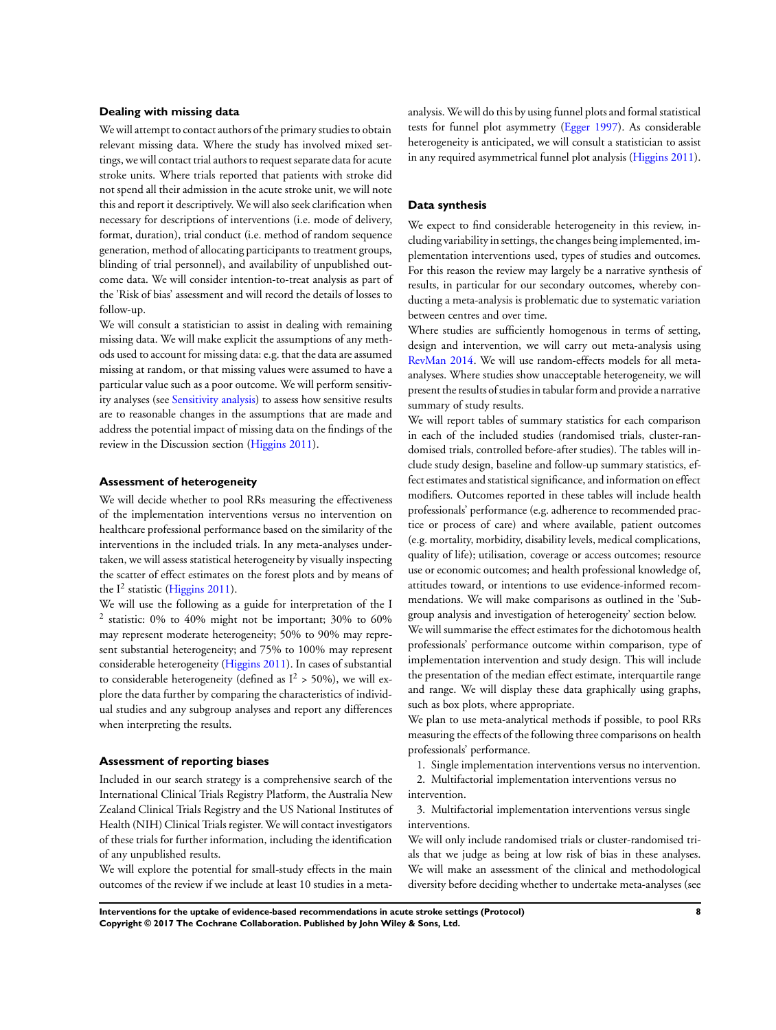### **Dealing with missing data**

We will attempt to contact authors of the primary studies to obtain relevant missing data. Where the study has involved mixed settings, we will contact trial authors to request separate data for acute stroke units. Where trials reported that patients with stroke did not spend all their admission in the acute stroke unit, we will note this and report it descriptively. We will also seek clarification when necessary for descriptions of interventions (i.e. mode of delivery, format, duration), trial conduct (i.e. method of random sequence generation, method of allocating participants to treatment groups, blinding of trial personnel), and availability of unpublished outcome data. We will consider intention-to-treat analysis as part of the 'Risk of bias' assessment and will record the details of losses to follow-up.

We will consult a statistician to assist in dealing with remaining missing data. We will make explicit the assumptions of any methods used to account for missing data: e.g. that the data are assumed missing at random, or that missing values were assumed to have a particular value such as a poor outcome. We will perform sensitivity analyses (see [Sensitivity analysis](#page-3-0)) to assess how sensitive results are to reasonable changes in the assumptions that are made and address the potential impact of missing data on the findings of the review in the Discussion section [\(Higgins 2011](#page-12-0)).

### **Assessment of heterogeneity**

We will decide whether to pool RRs measuring the effectiveness of the implementation interventions versus no intervention on healthcare professional performance based on the similarity of the interventions in the included trials. In any meta-analyses undertaken, we will assess statistical heterogeneity by visually inspecting the scatter of effect estimates on the forest plots and by means of the  $I^2$  statistic ([Higgins 2011](#page-12-0)).

We will use the following as a guide for interpretation of the I <sup>2</sup> statistic: 0% to 40% might not be important; 30% to 60% may represent moderate heterogeneity; 50% to 90% may represent substantial heterogeneity; and 75% to 100% may represent considerable heterogeneity ([Higgins 2011\)](#page-12-0). In cases of substantial to considerable heterogeneity (defined as  $I^2 > 50\%$ ), we will explore the data further by comparing the characteristics of individual studies and any subgroup analyses and report any differences when interpreting the results.

#### **Assessment of reporting biases**

Included in our search strategy is a comprehensive search of the International Clinical Trials Registry Platform, the Australia New Zealand Clinical Trials Registry and the US National Institutes of Health (NIH) Clinical Trials register. We will contact investigators of these trials for further information, including the identification of any unpublished results.

We will explore the potential for small-study effects in the main outcomes of the review if we include at least 10 studies in a meta-

analysis. We will do this by using funnel plots and formal statistical tests for funnel plot asymmetry [\(Egger 1997](#page-12-0)). As considerable heterogeneity is anticipated, we will consult a statistician to assist in any required asymmetrical funnel plot analysis ([Higgins 2011](#page-12-0)).

#### **Data synthesis**

We expect to find considerable heterogeneity in this review, including variability in settings, the changes being implemented, implementation interventions used, types of studies and outcomes. For this reason the review may largely be a narrative synthesis of results, in particular for our secondary outcomes, whereby conducting a meta-analysis is problematic due to systematic variation between centres and over time.

Where studies are sufficiently homogenous in terms of setting, design and intervention, we will carry out meta-analysis using [RevMan 2014.](#page-12-0) We will use random-effects models for all metaanalyses. Where studies show unacceptable heterogeneity, we will present the results of studies in tabular form and provide a narrative summary of study results.

We will report tables of summary statistics for each comparison in each of the included studies (randomised trials, cluster-randomised trials, controlled before-after studies). The tables will include study design, baseline and follow-up summary statistics, effect estimates and statistical significance, and information on effect modifiers. Outcomes reported in these tables will include health professionals' performance (e.g. adherence to recommended practice or process of care) and where available, patient outcomes (e.g. mortality, morbidity, disability levels, medical complications, quality of life); utilisation, coverage or access outcomes; resource use or economic outcomes; and health professional knowledge of, attitudes toward, or intentions to use evidence-informed recommendations. We will make comparisons as outlined in the 'Subgroup analysis and investigation of heterogeneity' section below. We will summarise the effect estimates for the dichotomous health professionals' performance outcome within comparison, type of implementation intervention and study design. This will include the presentation of the median effect estimate, interquartile range and range. We will display these data graphically using graphs, such as box plots, where appropriate.

We plan to use meta-analytical methods if possible, to pool RRs measuring the effects of the following three comparisons on health professionals' performance.

1. Single implementation interventions versus no intervention.

2. Multifactorial implementation interventions versus no intervention.

3. Multifactorial implementation interventions versus single interventions.

We will only include randomised trials or cluster-randomised trials that we judge as being at low risk of bias in these analyses. We will make an assessment of the clinical and methodological diversity before deciding whether to undertake meta-analyses (see

**Interventions for the uptake of evidence-based recommendations in acute stroke settings (Protocol) 8 Copyright © 2017 The Cochrane Collaboration. Published by John Wiley & Sons, Ltd.**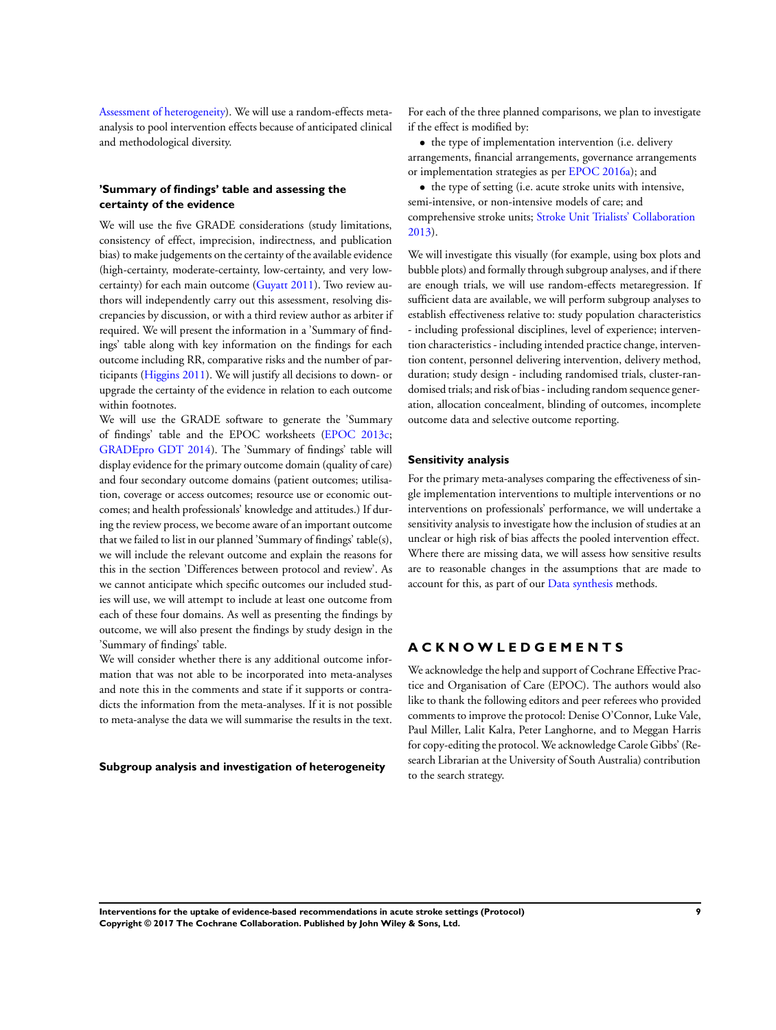[Assessment of heterogeneity\)](#page-3-0). We will use a random-effects metaanalysis to pool intervention effects because of anticipated clinical and methodological diversity.

### **'Summary of findings' table and assessing the certainty of the evidence**

We will use the five GRADE considerations (study limitations, consistency of effect, imprecision, indirectness, and publication bias) to make judgements on the certainty of the available evidence (high-certainty, moderate-certainty, low-certainty, and very lowcertainty) for each main outcome ([Guyatt 2011](#page-12-0)). Two review authors will independently carry out this assessment, resolving discrepancies by discussion, or with a third review author as arbiter if required. We will present the information in a 'Summary of findings' table along with key information on the findings for each outcome including RR, comparative risks and the number of participants ([Higgins 2011](#page-12-0)). We will justify all decisions to down- or upgrade the certainty of the evidence in relation to each outcome within footnotes.

We will use the GRADE software to generate the 'Summary of findings' table and the EPOC worksheets [\(EPOC 2013c;](#page-12-0) [GRADEpro GDT 2014](#page-12-0)). The 'Summary of findings' table will display evidence for the primary outcome domain (quality of care) and four secondary outcome domains (patient outcomes; utilisation, coverage or access outcomes; resource use or economic outcomes; and health professionals' knowledge and attitudes.) If during the review process, we become aware of an important outcome that we failed to list in our planned 'Summary of findings' table(s), we will include the relevant outcome and explain the reasons for this in the section 'Differences between protocol and review'. As we cannot anticipate which specific outcomes our included studies will use, we will attempt to include at least one outcome from each of these four domains. As well as presenting the findings by outcome, we will also present the findings by study design in the 'Summary of findings' table.

We will consider whether there is any additional outcome information that was not able to be incorporated into meta-analyses and note this in the comments and state if it supports or contradicts the information from the meta-analyses. If it is not possible to meta-analyse the data we will summarise the results in the text.

#### **Subgroup analysis and investigation of heterogeneity**

For each of the three planned comparisons, we plan to investigate if the effect is modified by:

• the type of implementation intervention (i.e. delivery arrangements, financial arrangements, governance arrangements or implementation strategies as per [EPOC 2016a](#page-12-0)); and

• the type of setting (i.e. acute stroke units with intensive, semi-intensive, or non-intensive models of care; and comprehensive stroke units; [Stroke Unit Trialists' Collaboration](#page-12-0) [2013](#page-12-0)).

We will investigate this visually (for example, using box plots and bubble plots) and formally through subgroup analyses, and if there are enough trials, we will use random-effects metaregression. If sufficient data are available, we will perform subgroup analyses to establish effectiveness relative to: study population characteristics - including professional disciplines, level of experience; intervention characteristics - including intended practice change, intervention content, personnel delivering intervention, delivery method, duration; study design - including randomised trials, cluster-randomised trials; and risk of bias - including random sequence generation, allocation concealment, blinding of outcomes, incomplete outcome data and selective outcome reporting.

### **Sensitivity analysis**

For the primary meta-analyses comparing the effectiveness of single implementation interventions to multiple interventions or no interventions on professionals' performance, we will undertake a sensitivity analysis to investigate how the inclusion of studies at an unclear or high risk of bias affects the pooled intervention effect. Where there are missing data, we will assess how sensitive results are to reasonable changes in the assumptions that are made to account for this, as part of our [Data synthesis](#page-3-0) methods.

### **A C K N O W L E D G E M E N T S**

We acknowledge the help and support of Cochrane Effective Practice and Organisation of Care (EPOC). The authors would also like to thank the following editors and peer referees who provided comments to improve the protocol: Denise O'Connor, Luke Vale, Paul Miller, Lalit Kalra, Peter Langhorne, and to Meggan Harris for copy-editing the protocol. We acknowledge Carole Gibbs' (Research Librarian at the University of South Australia) contribution to the search strategy.

**Interventions for the uptake of evidence-based recommendations in acute stroke settings (Protocol) 9 Copyright © 2017 The Cochrane Collaboration. Published by John Wiley & Sons, Ltd.**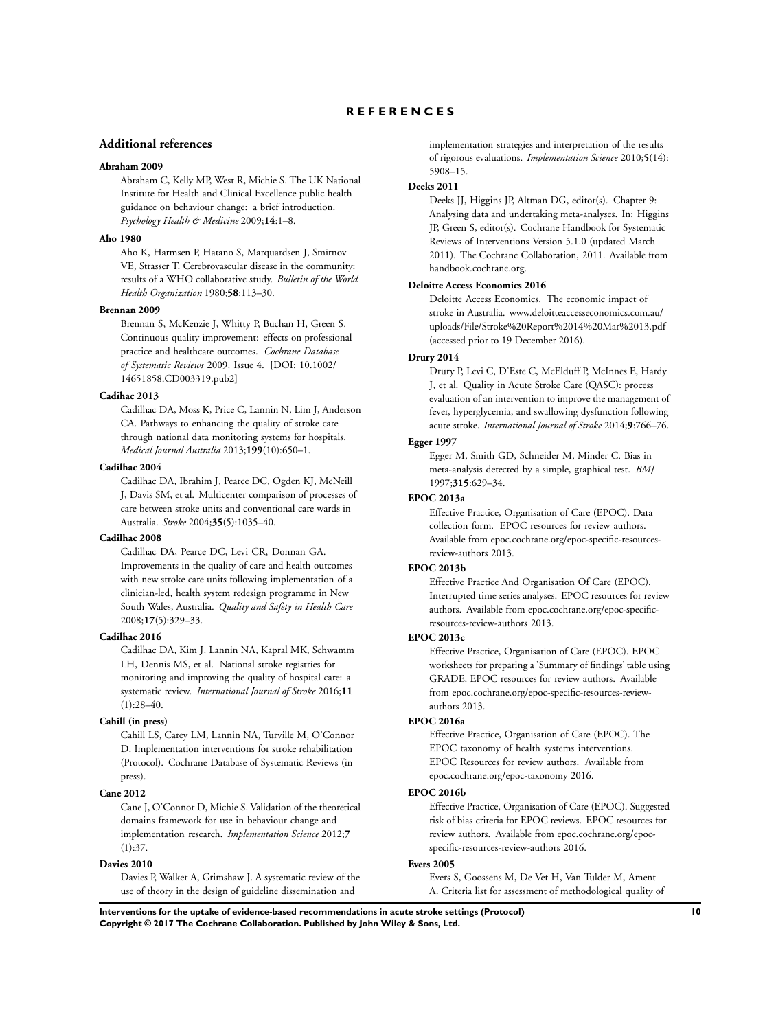### <span id="page-12-0"></span>**Additional references**

#### **Abraham 2009**

Abraham C, Kelly MP, West R, Michie S. The UK National Institute for Health and Clinical Excellence public health guidance on behaviour change: a brief introduction. *Psychology Health & Medicine* 2009;**14**:1–8.

### **Aho 1980**

Aho K, Harmsen P, Hatano S, Marquardsen J, Smirnov VE, Strasser T. Cerebrovascular disease in the community: results of a WHO collaborative study. *Bulletin of the World Health Organization* 1980;**58**:113–30.

#### **Brennan 2009**

Brennan S, McKenzie J, Whitty P, Buchan H, Green S. Continuous quality improvement: effects on professional practice and healthcare outcomes. *Cochrane Database of Systematic Reviews* 2009, Issue 4. [DOI: 10.1002/ 14651858.CD003319.pub2]

#### **Cadihac 2013**

Cadilhac DA, Moss K, Price C, Lannin N, Lim J, Anderson CA. Pathways to enhancing the quality of stroke care through national data monitoring systems for hospitals. *Medical Journal Australia* 2013;**199**(10):650–1.

### **Cadilhac 2004**

Cadilhac DA, Ibrahim J, Pearce DC, Ogden KJ, McNeill J, Davis SM, et al. Multicenter comparison of processes of care between stroke units and conventional care wards in Australia. *Stroke* 2004;**35**(5):1035–40.

#### **Cadilhac 2008**

Cadilhac DA, Pearce DC, Levi CR, Donnan GA. Improvements in the quality of care and health outcomes with new stroke care units following implementation of a clinician-led, health system redesign programme in New South Wales, Australia. *Quality and Safety in Health Care* 2008;**17**(5):329–33.

#### **Cadilhac 2016**

Cadilhac DA, Kim J, Lannin NA, Kapral MK, Schwamm LH, Dennis MS, et al. National stroke registries for monitoring and improving the quality of hospital care: a systematic review. *International Journal of Stroke* 2016;**11**  $(1):28-40.$ 

#### **Cahill (in press)**

Cahill LS, Carey LM, Lannin NA, Turville M, O'Connor D. Implementation interventions for stroke rehabilitation (Protocol). Cochrane Database of Systematic Reviews (in press).

#### **Cane 2012**

Cane J, O'Connor D, Michie S. Validation of the theoretical domains framework for use in behaviour change and implementation research. *Implementation Science* 2012;**7**  $(1):37.$ 

#### **Davies 2010**

Davies P, Walker A, Grimshaw J. A systematic review of the use of theory in the design of guideline dissemination and

implementation strategies and interpretation of the results of rigorous evaluations. *Implementation Science* 2010;**5**(14): 5908–15.

### **Deeks 2011**

Deeks JJ, Higgins JP, Altman DG, editor(s). Chapter 9: Analysing data and undertaking meta-analyses. In: Higgins JP, Green S, editor(s). Cochrane Handbook for Systematic Reviews of Interventions Version 5.1.0 (updated March 2011). The Cochrane Collaboration, 2011. Available from handbook.cochrane.org.

#### **Deloitte Access Economics 2016**

Deloitte Access Economics. The economic impact of stroke in Australia. www.deloitteaccesseconomics.com.au/ uploads/File/Stroke%20Report%2014%20Mar%2013.pdf (accessed prior to 19 December 2016).

#### **Drury 2014**

Drury P, Levi C, D'Este C, McElduff P, McInnes E, Hardy J, et al. Quality in Acute Stroke Care (QASC): process evaluation of an intervention to improve the management of fever, hyperglycemia, and swallowing dysfunction following acute stroke. *International Journal of Stroke* 2014;**9**:766–76.

#### **Egger 1997**

Egger M, Smith GD, Schneider M, Minder C. Bias in meta-analysis detected by a simple, graphical test. *BMJ* 1997;**315**:629–34.

#### **EPOC 2013a**

Effective Practice, Organisation of Care (EPOC). Data collection form. EPOC resources for review authors. Available from epoc.cochrane.org/epoc-specific-resourcesreview-authors 2013.

### **EPOC 2013b**

Effective Practice And Organisation Of Care (EPOC). Interrupted time series analyses. EPOC resources for review authors. Available from epoc.cochrane.org/epoc-specificresources-review-authors 2013.

### **EPOC 2013c**

Effective Practice, Organisation of Care (EPOC). EPOC worksheets for preparing a 'Summary of findings' table using GRADE. EPOC resources for review authors. Available from epoc.cochrane.org/epoc-specific-resources-reviewauthors 2013.

#### **EPOC 2016a**

Effective Practice, Organisation of Care (EPOC). The EPOC taxonomy of health systems interventions. EPOC Resources for review authors. Available from epoc.cochrane.org/epoc-taxonomy 2016.

#### **EPOC 2016b**

Effective Practice, Organisation of Care (EPOC). Suggested risk of bias criteria for EPOC reviews. EPOC resources for review authors. Available from epoc.cochrane.org/epocspecific-resources-review-authors 2016.

### **Evers 2005**

Evers S, Goossens M, De Vet H, Van Tulder M, Ament A. Criteria list for assessment of methodological quality of

**Interventions for the uptake of evidence-based recommendations in acute stroke settings (Protocol) 10 Copyright © 2017 The Cochrane Collaboration. Published by John Wiley & Sons, Ltd.**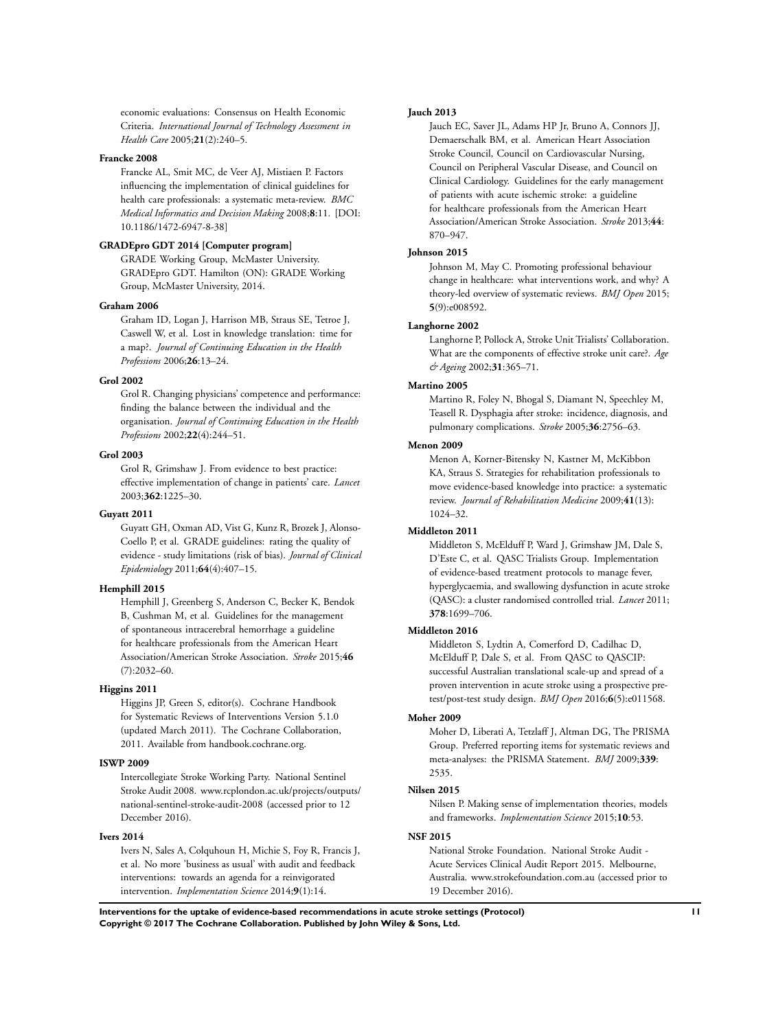economic evaluations: Consensus on Health Economic Criteria. *International Journal of Technology Assessment in Health Care* 2005;**21**(2):240–5.

#### **Francke 2008**

Francke AL, Smit MC, de Veer AJ, Mistiaen P. Factors influencing the implementation of clinical guidelines for health care professionals: a systematic meta-review. *BMC Medical Informatics and Decision Making* 2008;**8**:11. [DOI: 10.1186/1472-6947-8-38]

### **GRADEpro GDT 2014 [Computer program]**

GRADE Working Group, McMaster University. GRADEpro GDT. Hamilton (ON): GRADE Working Group, McMaster University, 2014.

#### **Graham 2006**

Graham ID, Logan J, Harrison MB, Straus SE, Tetroe J, Caswell W, et al. Lost in knowledge translation: time for a map?. *Journal of Continuing Education in the Health Professions* 2006;**26**:13–24.

### **Grol 2002**

Grol R. Changing physicians' competence and performance: finding the balance between the individual and the organisation. *Journal of Continuing Education in the Health Professions* 2002;**22**(4):244–51.

#### **Grol 2003**

Grol R, Grimshaw J. From evidence to best practice: effective implementation of change in patients' care. *Lancet* 2003;**362**:1225–30.

#### **Guyatt 2011**

Guyatt GH, Oxman AD, Vist G, Kunz R, Brozek J, Alonso-Coello P, et al. GRADE guidelines: rating the quality of evidence - study limitations (risk of bias). *Journal of Clinical Epidemiology* 2011;**64**(4):407–15.

### **Hemphill 2015**

Hemphill J, Greenberg S, Anderson C, Becker K, Bendok B, Cushman M, et al. Guidelines for the management of spontaneous intracerebral hemorrhage a guideline for healthcare professionals from the American Heart Association/American Stroke Association. *Stroke* 2015;**46** (7):2032–60.

#### **Higgins 2011**

Higgins JP, Green S, editor(s). Cochrane Handbook for Systematic Reviews of Interventions Version 5.1.0 (updated March 2011). The Cochrane Collaboration, 2011. Available from handbook.cochrane.org.

#### **ISWP 2009**

Intercollegiate Stroke Working Party. National Sentinel Stroke Audit 2008. www.rcplondon.ac.uk/projects/outputs/ national-sentinel-stroke-audit-2008 (accessed prior to 12 December 2016).

#### **Ivers 2014**

Ivers N, Sales A, Colquhoun H, Michie S, Foy R, Francis J, et al. No more 'business as usual' with audit and feedback interventions: towards an agenda for a reinvigorated intervention. *Implementation Science* 2014;**9**(1):14.

#### **Jauch 2013**

Jauch EC, Saver JL, Adams HP Jr, Bruno A, Connors JJ, Demaerschalk BM, et al. American Heart Association Stroke Council, Council on Cardiovascular Nursing, Council on Peripheral Vascular Disease, and Council on Clinical Cardiology. Guidelines for the early management of patients with acute ischemic stroke: a guideline for healthcare professionals from the American Heart Association/American Stroke Association. *Stroke* 2013;**44**: 870–947.

### **Johnson 2015**

Johnson M, May C. Promoting professional behaviour change in healthcare: what interventions work, and why? A theory-led overview of systematic reviews. *BMJ Open* 2015; **5**(9):e008592.

#### **Langhorne 2002**

Langhorne P, Pollock A, Stroke Unit Trialists' Collaboration. What are the components of effective stroke unit care?. *Age & Ageing* 2002;**31**:365–71.

#### **Martino 2005**

Martino R, Foley N, Bhogal S, Diamant N, Speechley M, Teasell R. Dysphagia after stroke: incidence, diagnosis, and pulmonary complications. *Stroke* 2005;**36**:2756–63.

### **Menon 2009**

Menon A, Korner-Bitensky N, Kastner M, McKibbon KA, Straus S. Strategies for rehabilitation professionals to move evidence-based knowledge into practice: a systematic review. *Journal of Rehabilitation Medicine* 2009;**41**(13): 1024–32.

#### **Middleton 2011**

Middleton S, McElduff P, Ward J, Grimshaw JM, Dale S, D'Este C, et al. QASC Trialists Group. Implementation of evidence-based treatment protocols to manage fever, hyperglycaemia, and swallowing dysfunction in acute stroke (QASC): a cluster randomised controlled trial. *Lancet* 2011; **378**:1699–706.

#### **Middleton 2016**

Middleton S, Lydtin A, Comerford D, Cadilhac D, McElduff P, Dale S, et al. From QASC to QASCIP: successful Australian translational scale-up and spread of a proven intervention in acute stroke using a prospective pretest/post-test study design. *BMJ Open* 2016;**6**(5):e011568.

#### **Moher 2009**

Moher D, Liberati A, Tetzlaff J, Altman DG, The PRISMA Group. Preferred reporting items for systematic reviews and meta-analyses: the PRISMA Statement. *BMJ* 2009;**339**: 2535.

#### **Nilsen 2015**

Nilsen P. Making sense of implementation theories, models and frameworks. *Implementation Science* 2015;**10**:53.

#### **NSF 2015**

National Stroke Foundation. National Stroke Audit - Acute Services Clinical Audit Report 2015. Melbourne, Australia. www.strokefoundation.com.au (accessed prior to 19 December 2016).

**Interventions for the uptake of evidence-based recommendations in acute stroke settings (Protocol) 11 Copyright © 2017 The Cochrane Collaboration. Published by John Wiley & Sons, Ltd.**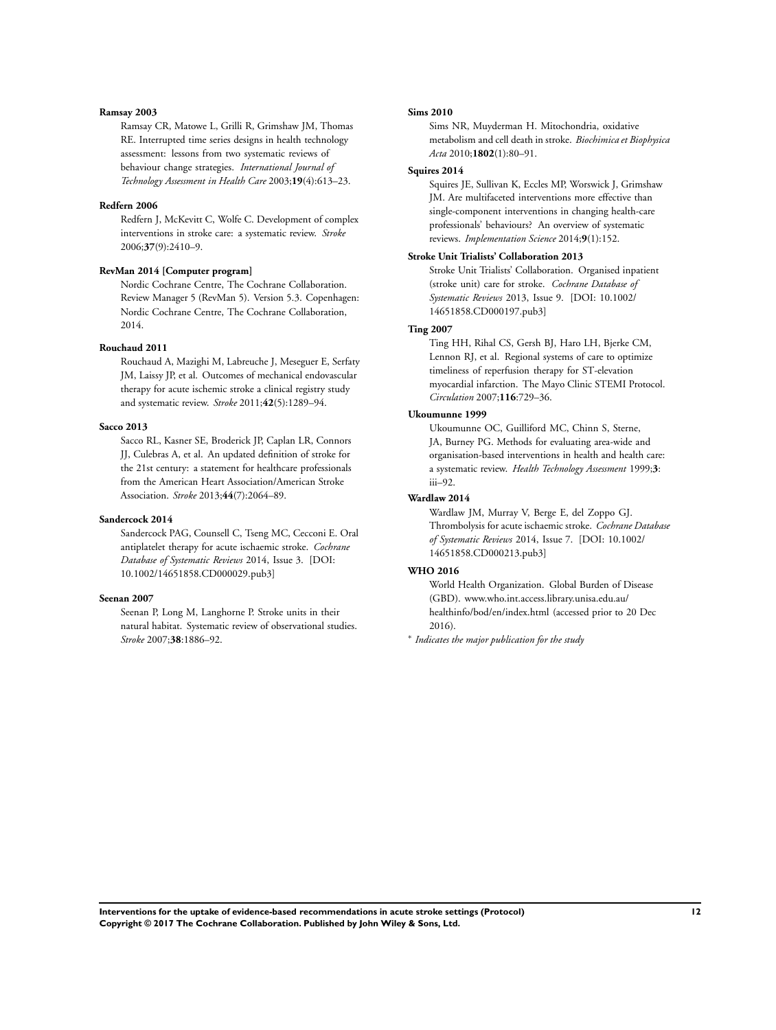#### **Ramsay 2003**

Ramsay CR, Matowe L, Grilli R, Grimshaw JM, Thomas RE. Interrupted time series designs in health technology assessment: lessons from two systematic reviews of behaviour change strategies. *International Journal of Technology Assessment in Health Care* 2003;**19**(4):613–23.

#### **Redfern 2006**

Redfern J, McKevitt C, Wolfe C. Development of complex interventions in stroke care: a systematic review. *Stroke* 2006;**37**(9):2410–9.

#### **RevMan 2014 [Computer program]**

Nordic Cochrane Centre, The Cochrane Collaboration. Review Manager 5 (RevMan 5). Version 5.3. Copenhagen: Nordic Cochrane Centre, The Cochrane Collaboration, 2014.

#### **Rouchaud 2011**

Rouchaud A, Mazighi M, Labreuche J, Meseguer E, Serfaty JM, Laissy JP, et al. Outcomes of mechanical endovascular therapy for acute ischemic stroke a clinical registry study and systematic review. *Stroke* 2011;**42**(5):1289–94.

### **Sacco 2013**

Sacco RL, Kasner SE, Broderick JP, Caplan LR, Connors JJ, Culebras A, et al. An updated definition of stroke for the 21st century: a statement for healthcare professionals from the American Heart Association/American Stroke Association. *Stroke* 2013;**44**(7):2064–89.

#### **Sandercock 2014**

Sandercock PAG, Counsell C, Tseng MC, Cecconi E. Oral antiplatelet therapy for acute ischaemic stroke. *Cochrane Database of Systematic Reviews* 2014, Issue 3. [DOI: 10.1002/14651858.CD000029.pub3]

#### **Seenan 2007**

Seenan P, Long M, Langhorne P. Stroke units in their natural habitat. Systematic review of observational studies. *Stroke* 2007;**38**:1886–92.

#### **Sims 2010**

Sims NR, Muyderman H. Mitochondria, oxidative metabolism and cell death in stroke. *Biochimica et Biophysica Acta* 2010;**1802**(1):80–91.

### **Squires 2014**

Squires JE, Sullivan K, Eccles MP, Worswick J, Grimshaw JM. Are multifaceted interventions more effective than single-component interventions in changing health-care professionals' behaviours? An overview of systematic reviews. *Implementation Science* 2014;**9**(1):152.

### **Stroke Unit Trialists' Collaboration 2013**

Stroke Unit Trialists' Collaboration. Organised inpatient (stroke unit) care for stroke. *Cochrane Database of Systematic Reviews* 2013, Issue 9. [DOI: 10.1002/ 14651858.CD000197.pub3]

#### **Ting 2007**

Ting HH, Rihal CS, Gersh BJ, Haro LH, Bjerke CM, Lennon RJ, et al. Regional systems of care to optimize timeliness of reperfusion therapy for ST-elevation myocardial infarction. The Mayo Clinic STEMI Protocol. *Circulation* 2007;**116**:729–36.

#### **Ukoumunne 1999**

Ukoumunne OC, Guilliford MC, Chinn S, Sterne, JA, Burney PG. Methods for evaluating area-wide and organisation-based interventions in health and health care: a systematic review. *Health Technology Assessment* 1999;**3**: iii–92.

#### **Wardlaw 2014**

Wardlaw JM, Murray V, Berge E, del Zoppo GJ. Thrombolysis for acute ischaemic stroke. *Cochrane Database of Systematic Reviews* 2014, Issue 7. [DOI: 10.1002/ 14651858.CD000213.pub3]

#### **WHO 2016**

World Health Organization. Global Burden of Disease (GBD). www.who.int.access.library.unisa.edu.au/ healthinfo/bod/en/index.html (accessed prior to 20 Dec 2016).

∗ *Indicates the major publication for the study*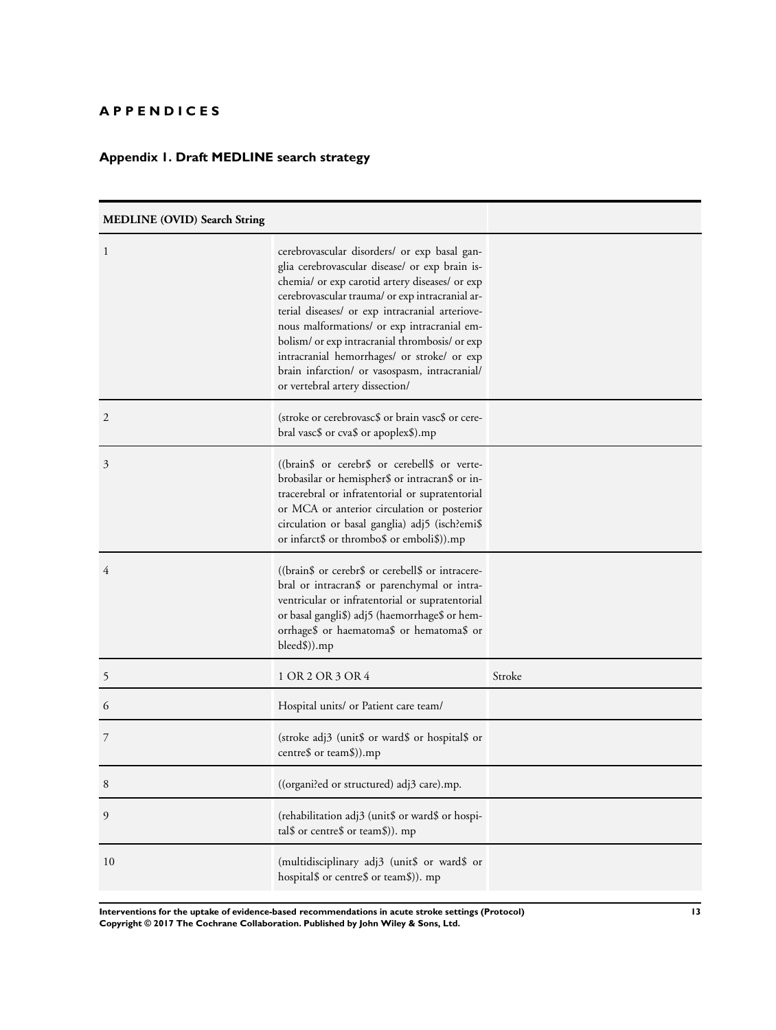# <span id="page-15-0"></span>**A P P E N D I C E S**

# **Appendix 1. Draft MEDLINE search strategy**

| <b>MEDLINE (OVID) Search String</b> |                                                                                                                                                                                                                                                                                                                                                                                                                                                                                            |        |
|-------------------------------------|--------------------------------------------------------------------------------------------------------------------------------------------------------------------------------------------------------------------------------------------------------------------------------------------------------------------------------------------------------------------------------------------------------------------------------------------------------------------------------------------|--------|
| -1                                  | cerebrovascular disorders/ or exp basal gan-<br>glia cerebrovascular disease/ or exp brain is-<br>chemia/ or exp carotid artery diseases/ or exp<br>cerebrovascular trauma/ or exp intracranial ar-<br>terial diseases/ or exp intracranial arteriove-<br>nous malformations/ or exp intracranial em-<br>bolism/ or exp intracranial thrombosis/ or exp<br>intracranial hemorrhages/ or stroke/ or exp<br>brain infarction/ or vasospasm, intracranial/<br>or vertebral artery dissection/ |        |
| 2                                   | (stroke or cerebrovasc\$ or brain vasc\$ or cere-<br>bral vasc\$ or cva\$ or apoplex\$).mp                                                                                                                                                                                                                                                                                                                                                                                                 |        |
| 3                                   | ((brain\$ or cerebr\$ or cerebell\$ or verte-<br>brobasilar or hemispher\$ or intracran\$ or in-<br>tracerebral or infratentorial or supratentorial<br>or MCA or anterior circulation or posterior<br>circulation or basal ganglia) adj5 (isch?emi\$<br>or infarct\$ or thrombo\$ or emboli\$)).mp                                                                                                                                                                                         |        |
| 4                                   | ((brain\$ or cerebr\$ or cerebell\$ or intracere-<br>bral or intracran\$ or parenchymal or intra-<br>ventricular or infratentorial or supratentorial<br>or basal gangli\$) adj5 (haemorrhage\$ or hem-<br>orrhage\$ or haematoma\$ or hematoma\$ or<br>bleed\$)).mp                                                                                                                                                                                                                        |        |
| 5                                   | 1 OR 2 OR 3 OR 4                                                                                                                                                                                                                                                                                                                                                                                                                                                                           | Stroke |
| 6                                   | Hospital units/ or Patient care team/                                                                                                                                                                                                                                                                                                                                                                                                                                                      |        |
| 7                                   | (stroke adj3 (unit\$ or ward\$ or hospital\$ or<br>centre\$ or team\$)).mp                                                                                                                                                                                                                                                                                                                                                                                                                 |        |
|                                     | ((organi?ed or structured) adj3 care).mp.                                                                                                                                                                                                                                                                                                                                                                                                                                                  |        |
| $\overline{9}$                      | (rehabilitation adj3 (unit\$ or ward\$ or hospi-<br>tal\$ or centre\$ or team\$)). mp                                                                                                                                                                                                                                                                                                                                                                                                      |        |
| 10                                  | (multidisciplinary adj3 (unit\$ or ward\$ or<br>hospital\$ or centre\$ or team\$)). mp                                                                                                                                                                                                                                                                                                                                                                                                     |        |

**Interventions for the uptake of evidence-based recommendations in acute stroke settings (Protocol) 13 Copyright © 2017 The Cochrane Collaboration. Published by John Wiley & Sons, Ltd.**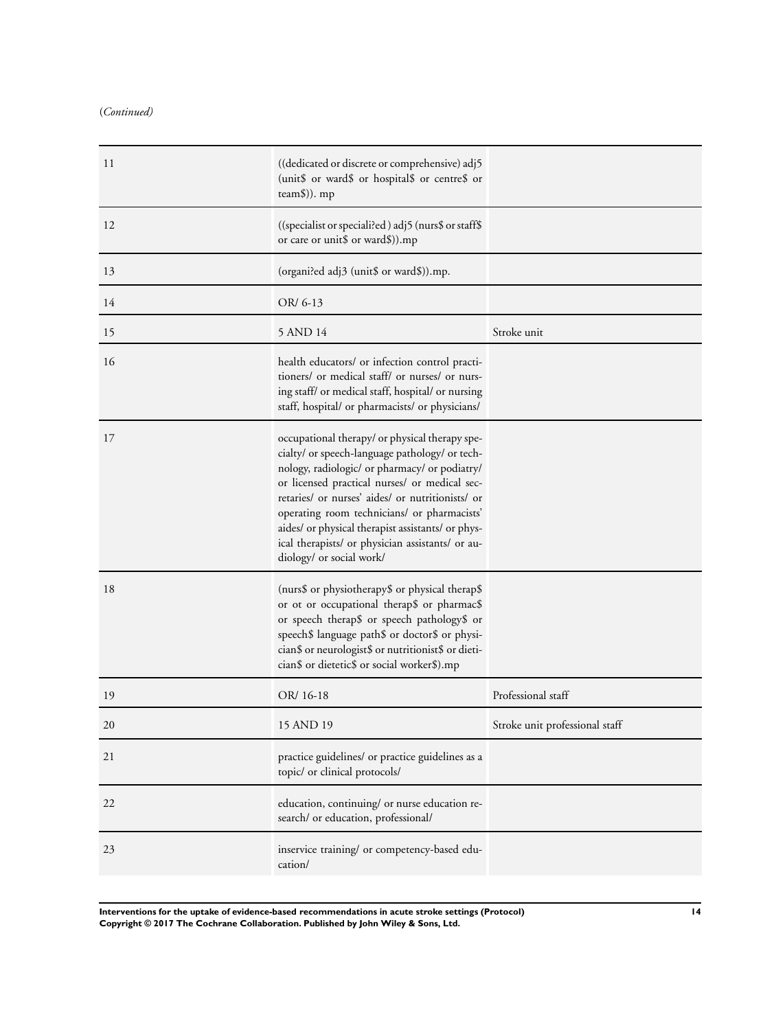| 11 | ((dedicated or discrete or comprehensive) adj5<br>(unit\$ or ward\$ or hospital\$ or centre\$ or<br>team\$)). mp                                                                                                                                                                                                                                                                                                                           |                                |
|----|--------------------------------------------------------------------------------------------------------------------------------------------------------------------------------------------------------------------------------------------------------------------------------------------------------------------------------------------------------------------------------------------------------------------------------------------|--------------------------------|
| 12 | ((specialist or speciali?ed) adj5 (nurs\$ or staff\$)<br>or care or unit\$ or ward\$)).mp                                                                                                                                                                                                                                                                                                                                                  |                                |
| 13 | (organi?ed adj3 (unit\$ or ward\$)).mp.                                                                                                                                                                                                                                                                                                                                                                                                    |                                |
| 14 | OR/ 6-13                                                                                                                                                                                                                                                                                                                                                                                                                                   |                                |
| 15 | 5 AND 14                                                                                                                                                                                                                                                                                                                                                                                                                                   | Stroke unit                    |
| 16 | health educators/ or infection control practi-<br>tioners/ or medical staff/ or nurses/ or nurs-<br>ing staff/ or medical staff, hospital/ or nursing<br>staff, hospital/ or pharmacists/ or physicians/                                                                                                                                                                                                                                   |                                |
| 17 | occupational therapy/ or physical therapy spe-<br>cialty/ or speech-language pathology/ or tech-<br>nology, radiologic/ or pharmacy/ or podiatry/<br>or licensed practical nurses/ or medical sec-<br>retaries/ or nurses' aides/ or nutritionists/ or<br>operating room technicians/ or pharmacists'<br>aides/ or physical therapist assistants/ or phys-<br>ical therapists/ or physician assistants/ or au-<br>diology/ or social work/ |                                |
| 18 | (nurs\$ or physiotherapy\$ or physical therap\$<br>or ot or occupational therap\$ or pharmac\$<br>or speech therap\$ or speech pathology\$ or<br>speech\$ language path\$ or doctor\$ or physi-<br>cian\$ or neurologist\$ or nutritionist\$ or dieti-<br>cian\$ or dietetic\$ or social worker\$).mp                                                                                                                                      |                                |
| 19 | OR/16-18                                                                                                                                                                                                                                                                                                                                                                                                                                   | Professional staff             |
| 20 | 15 AND 19                                                                                                                                                                                                                                                                                                                                                                                                                                  | Stroke unit professional staff |
| 21 | practice guidelines/ or practice guidelines as a<br>topic/ or clinical protocols/                                                                                                                                                                                                                                                                                                                                                          |                                |
| 22 | education, continuing/ or nurse education re-<br>search/ or education, professional/                                                                                                                                                                                                                                                                                                                                                       |                                |
| 23 | inservice training/ or competency-based edu-<br>cation/                                                                                                                                                                                                                                                                                                                                                                                    |                                |

**Interventions for the uptake of evidence-based recommendations in acute stroke settings (Protocol) 14 Copyright © 2017 The Cochrane Collaboration. Published by John Wiley & Sons, Ltd.**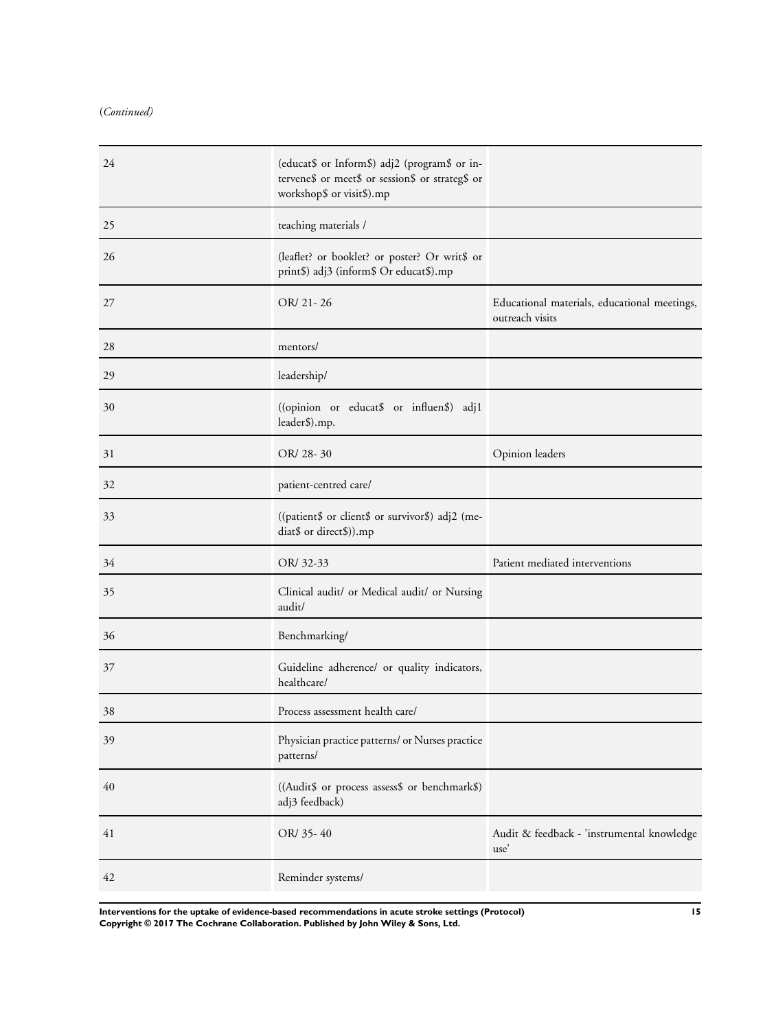| 24 | (educat\$ or Inform\$) adj2 (program\$ or in-<br>tervene\$ or meet\$ or session\$ or strateg\$ or<br>workshop\$ or visit\$).mp |                                                                 |
|----|--------------------------------------------------------------------------------------------------------------------------------|-----------------------------------------------------------------|
| 25 | teaching materials /                                                                                                           |                                                                 |
| 26 | (leaflet? or booklet? or poster? Or writ\$ or<br>print\$) adj3 (inform\$ Or educat\$).mp                                       |                                                                 |
| 27 | OR/ 21-26                                                                                                                      | Educational materials, educational meetings,<br>outreach visits |
| 28 | mentors/                                                                                                                       |                                                                 |
| 29 | leadership/                                                                                                                    |                                                                 |
| 30 | ((opinion or educat\$ or influen\$) adj1<br>leader\$).mp.                                                                      |                                                                 |
| 31 | OR/28-30                                                                                                                       | Opinion leaders                                                 |
| 32 | patient-centred care/                                                                                                          |                                                                 |
| 33 | ((patient\$ or client\$ or survivor\$) adj2 (me-<br>diat\$ or direct\$)).mp                                                    |                                                                 |
| 34 | OR/32-33                                                                                                                       | Patient mediated interventions                                  |
| 35 | Clinical audit/ or Medical audit/ or Nursing<br>audit/                                                                         |                                                                 |
| 36 | Benchmarking/                                                                                                                  |                                                                 |
| 37 | Guideline adherence/ or quality indicators,<br>healthcare/                                                                     |                                                                 |
| 38 | Process assessment health care/                                                                                                |                                                                 |
| 39 | Physician practice patterns/ or Nurses practice<br>patterns/                                                                   |                                                                 |
| 40 | ((Audit\$ or process assess\$ or benchmark\$)<br>adj3 feedback)                                                                |                                                                 |
| 41 | OR/ 35-40                                                                                                                      | Audit & feedback - 'instrumental knowledge<br>use'              |
| 42 | Reminder systems/                                                                                                              |                                                                 |

**Interventions for the uptake of evidence-based recommendations in acute stroke settings (Protocol) 15 Copyright © 2017 The Cochrane Collaboration. Published by John Wiley & Sons, Ltd.**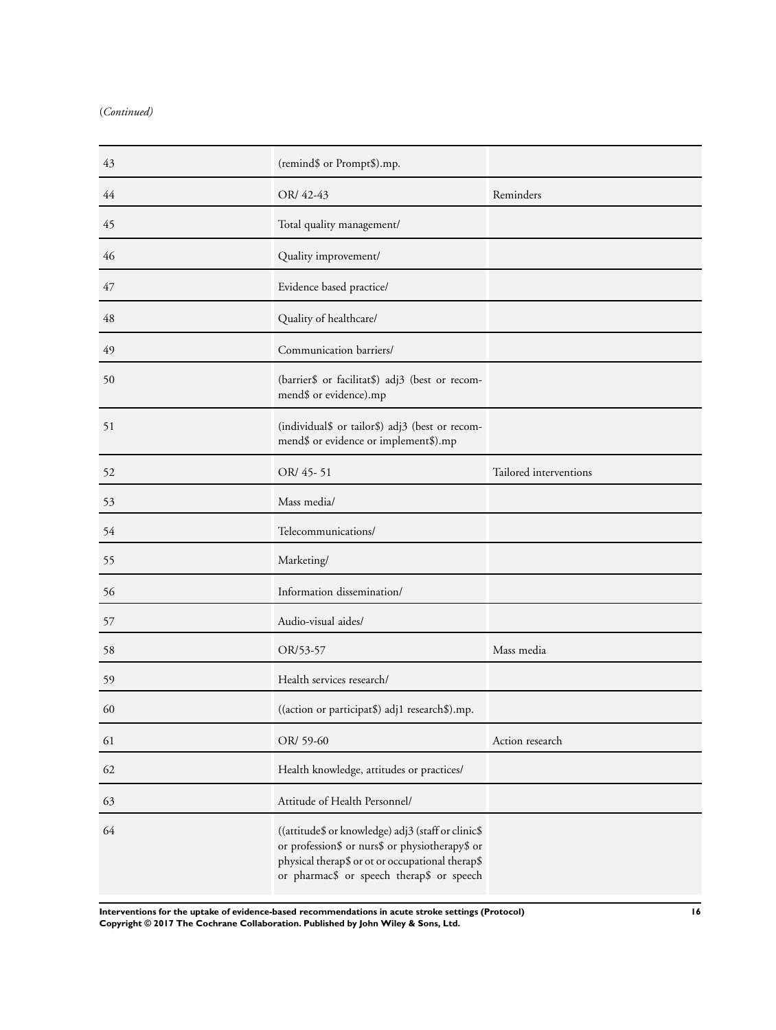| 43 | (remind\$ or Prompt\$).mp.                                                                                                                                                                             |                        |
|----|--------------------------------------------------------------------------------------------------------------------------------------------------------------------------------------------------------|------------------------|
| 44 | OR/42-43                                                                                                                                                                                               | Reminders              |
| 45 | Total quality management/                                                                                                                                                                              |                        |
| 46 | Quality improvement/                                                                                                                                                                                   |                        |
| 47 | Evidence based practice/                                                                                                                                                                               |                        |
| 48 | Quality of healthcare/                                                                                                                                                                                 |                        |
| 49 | Communication barriers/                                                                                                                                                                                |                        |
| 50 | (barrier\$ or facilitat\$) adj3 (best or recom-<br>mend\$ or evidence).mp                                                                                                                              |                        |
| 51 | (individual\$ or tailor\$) adj3 (best or recom-<br>mend\$ or evidence or implement\$).mp                                                                                                               |                        |
| 52 | OR/ 45-51                                                                                                                                                                                              | Tailored interventions |
| 53 | Mass media/                                                                                                                                                                                            |                        |
| 54 | Telecommunications/                                                                                                                                                                                    |                        |
| 55 | Marketing/                                                                                                                                                                                             |                        |
| 56 | Information dissemination/                                                                                                                                                                             |                        |
| 57 | Audio-visual aides/                                                                                                                                                                                    |                        |
| 58 | OR/53-57                                                                                                                                                                                               | Mass media             |
| 59 | Health services research/                                                                                                                                                                              |                        |
| 60 | ((action or participat\$) adj1 research\$).mp.                                                                                                                                                         |                        |
| 61 | OR/ 59-60                                                                                                                                                                                              | Action research        |
| 62 | Health knowledge, attitudes or practices/                                                                                                                                                              |                        |
| 63 | Attitude of Health Personnel/                                                                                                                                                                          |                        |
| 64 | ((attitude\$ or knowledge) adj3 (staff or clinic\$<br>or profession\$ or nurs\$ or physiotherapy\$ or<br>physical therap\$ or ot or occupational therap\$<br>or pharmac\$ or speech therap\$ or speech |                        |

**Interventions for the uptake of evidence-based recommendations in acute stroke settings (Protocol) 16 Copyright © 2017 The Cochrane Collaboration. Published by John Wiley & Sons, Ltd.**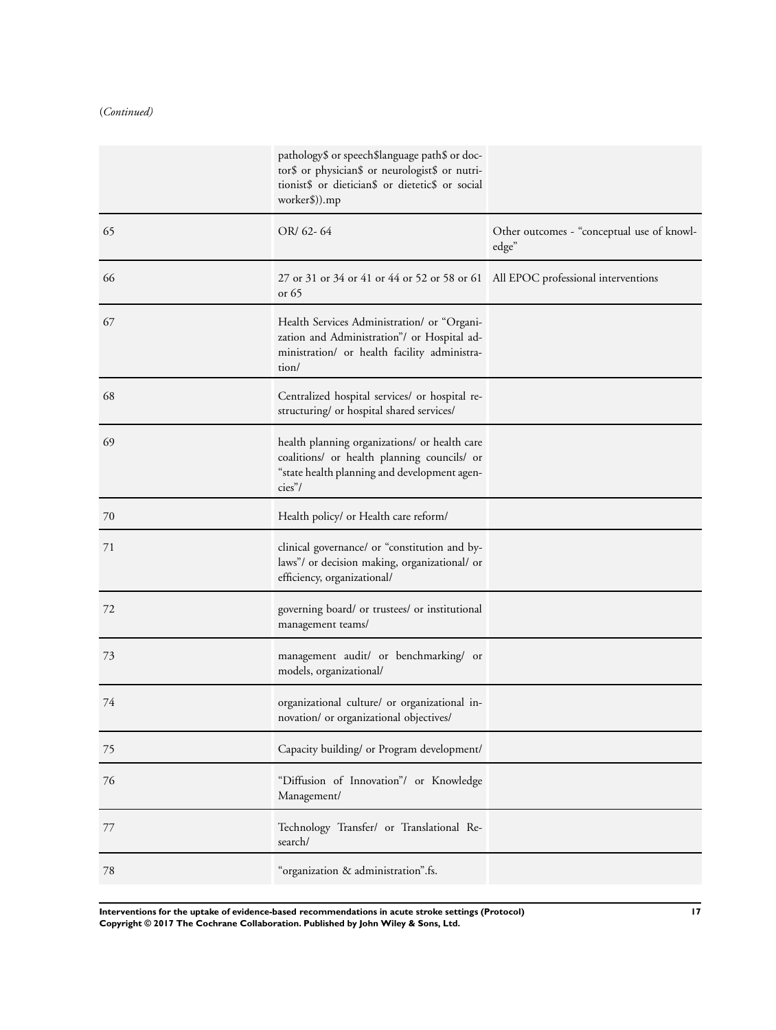|    | pathology\$ or speech\$language path\$ or doc-<br>tor\$ or physician\$ or neurologist\$ or nutri-<br>tionist\$ or dietician\$ or dietetic\$ or social<br>worker\$)).mp |                                                     |
|----|------------------------------------------------------------------------------------------------------------------------------------------------------------------------|-----------------------------------------------------|
| 65 | OR/ 62-64                                                                                                                                                              | Other outcomes - "conceptual use of knowl-<br>edge" |
| 66 | 27 or 31 or 34 or 41 or 44 or 52 or 58 or 61 All EPOC professional interventions<br>or $65$                                                                            |                                                     |
| 67 | Health Services Administration/ or "Organi-<br>zation and Administration"/ or Hospital ad-<br>ministration/ or health facility administra-<br>tion/                    |                                                     |
| 68 | Centralized hospital services/ or hospital re-<br>structuring/ or hospital shared services/                                                                            |                                                     |
| 69 | health planning organizations/ or health care<br>coalitions/ or health planning councils/ or<br>"state health planning and development agen-<br>cies"/                 |                                                     |
| 70 | Health policy/ or Health care reform/                                                                                                                                  |                                                     |
| 71 | clinical governance/ or "constitution and by-<br>laws"/ or decision making, organizational/ or<br>efficiency, organizational/                                          |                                                     |
| 72 | governing board/ or trustees/ or institutional<br>management teams/                                                                                                    |                                                     |
| 73 | management audit/ or benchmarking/ or<br>models, organizational/                                                                                                       |                                                     |
| 74 | organizational culture/ or organizational in-<br>novation/ or organizational objectives/                                                                               |                                                     |
| 75 | Capacity building/ or Program development/                                                                                                                             |                                                     |
| 76 | "Diffusion of Innovation"/ or Knowledge<br>Management/                                                                                                                 |                                                     |
| 77 | Technology Transfer/ or Translational Re-<br>search/                                                                                                                   |                                                     |
| 78 | "organization & administration".fs.                                                                                                                                    |                                                     |

**Interventions for the uptake of evidence-based recommendations in acute stroke settings (Protocol) 17 Copyright © 2017 The Cochrane Collaboration. Published by John Wiley & Sons, Ltd.**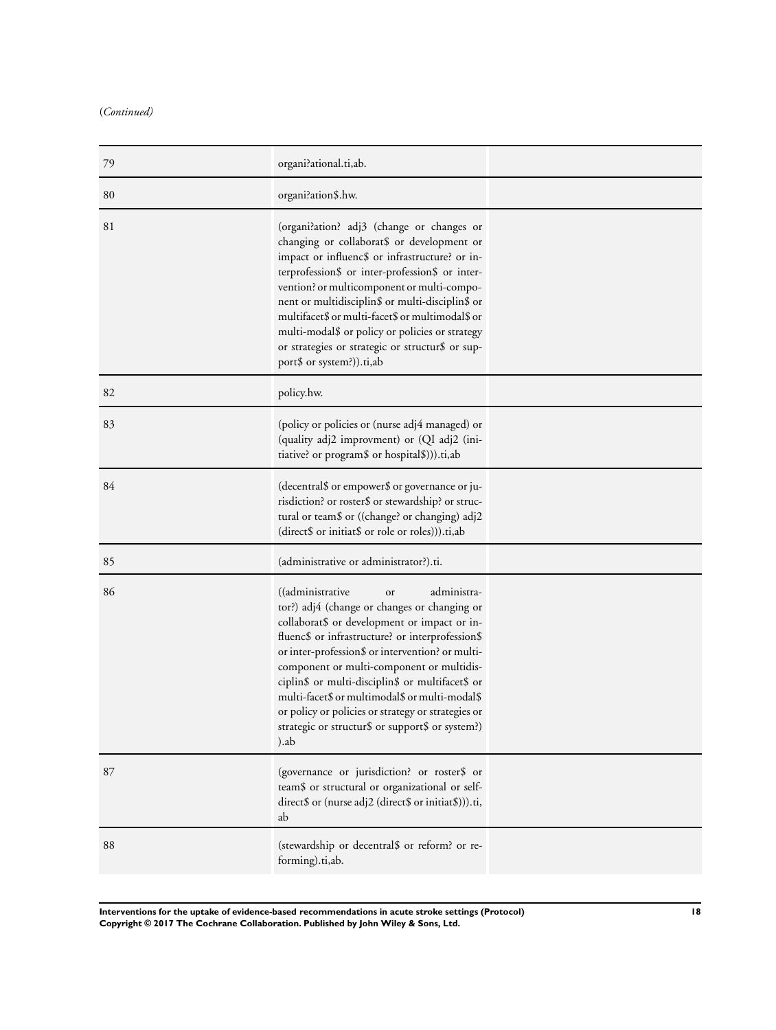| 79 | organi?ational.ti,ab.                                                                                                                                                                                                                                                                                                                                                                                                                                                                                               |  |
|----|---------------------------------------------------------------------------------------------------------------------------------------------------------------------------------------------------------------------------------------------------------------------------------------------------------------------------------------------------------------------------------------------------------------------------------------------------------------------------------------------------------------------|--|
| 80 | organi?ation\$.hw.                                                                                                                                                                                                                                                                                                                                                                                                                                                                                                  |  |
| 81 | (organi?ation? adj3 (change or changes or<br>changing or collaborat\$ or development or<br>impact or influenc\$ or infrastructure? or in-<br>terprofession\$ or inter-profession\$ or inter-<br>vention? or multicomponent or multi-compo-<br>nent or multidisciplin\$ or multi-disciplin\$ or<br>multifacet\$ or multi-facet\$ or multimodal\$ or<br>multi-modal\$ or policy or policies or strategy<br>or strategies or strategic or structur\$ or sup-<br>port\$ or system?)).ti,ab                              |  |
| 82 | policy.hw.                                                                                                                                                                                                                                                                                                                                                                                                                                                                                                          |  |
| 83 | (policy or policies or (nurse adj4 managed) or<br>(quality adj2 improvment) or (QI adj2 (ini-<br>tiative? or program\$ or hospital\$))).ti,ab                                                                                                                                                                                                                                                                                                                                                                       |  |
| 84 | (decentral\$ or empower\$ or governance or ju-<br>risdiction? or roster\$ or stewardship? or struc-<br>tural or team\$ or ((change? or changing) adj2<br>(direct\$ or initiat\$ or role or roles))).ti,ab                                                                                                                                                                                                                                                                                                           |  |
| 85 | (administrative or administrator?).ti.                                                                                                                                                                                                                                                                                                                                                                                                                                                                              |  |
| 86 | ((administrative)<br>administra-<br>or<br>tor?) adj4 (change or changes or changing or<br>collaborat\$ or development or impact or in-<br>fluenc\$ or infrastructure? or interprofession\$<br>or inter-profession\$ or intervention? or multi-<br>component or multi-component or multidis-<br>ciplin\$ or multi-disciplin\$ or multifacet\$ or<br>multi-facet\$ or multimodal\$ or multi-modal\$<br>or policy or policies or strategy or strategies or<br>strategic or structur\$ or support\$ or system?)<br>).ab |  |
| 87 | (governance or jurisdiction? or roster\$ or<br>team\$ or structural or organizational or self-<br>direct\$ or (nurse adj2 (direct\$ or initiat\$))).ti,<br>ab                                                                                                                                                                                                                                                                                                                                                       |  |
| 88 | (stewardship or decentral\$ or reform? or re-<br>forming).ti,ab.                                                                                                                                                                                                                                                                                                                                                                                                                                                    |  |

**Interventions for the uptake of evidence-based recommendations in acute stroke settings (Protocol) 18 Copyright © 2017 The Cochrane Collaboration. Published by John Wiley & Sons, Ltd.**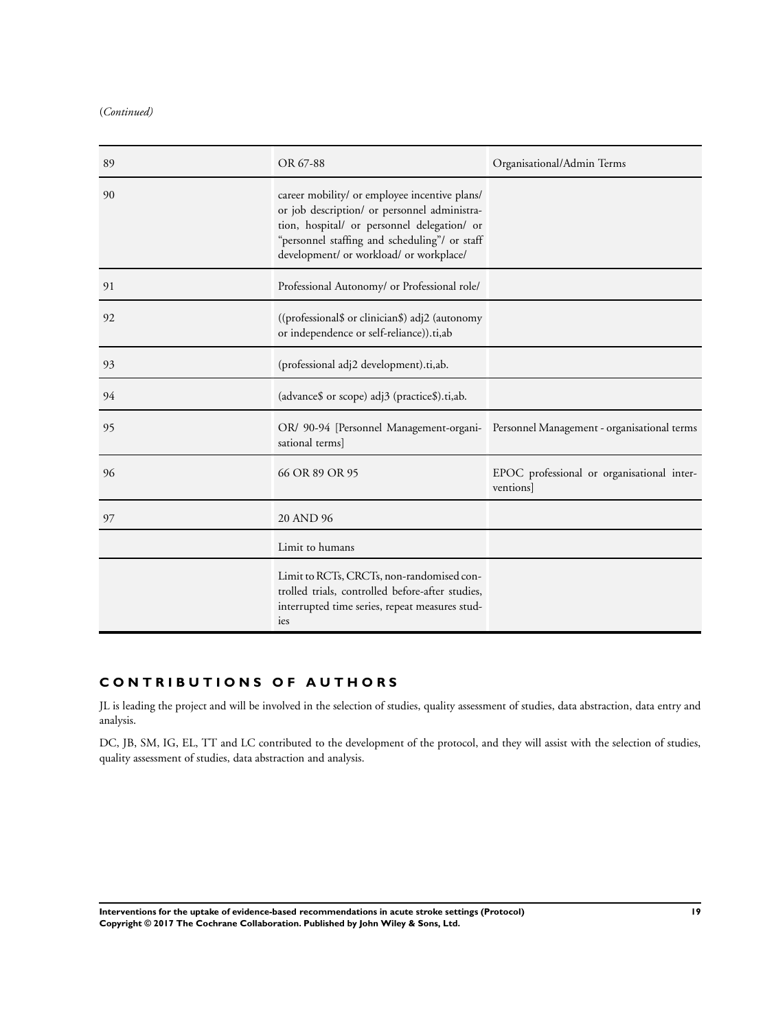| 89 | OR 67-88                                                                                                                                                                                                                                 | Organisational/Admin Terms                                                          |
|----|------------------------------------------------------------------------------------------------------------------------------------------------------------------------------------------------------------------------------------------|-------------------------------------------------------------------------------------|
| 90 | career mobility/ or employee incentive plans/<br>or job description/ or personnel administra-<br>tion, hospital/ or personnel delegation/ or<br>"personnel staffing and scheduling"/ or staff<br>development/ or workload/ or workplace/ |                                                                                     |
| 91 | Professional Autonomy/ or Professional role/                                                                                                                                                                                             |                                                                                     |
| 92 | ((professional\$ or clinician\$) adj2 (autonomy<br>or independence or self-reliance)).ti,ab                                                                                                                                              |                                                                                     |
| 93 | (professional adj2 development).ti,ab.                                                                                                                                                                                                   |                                                                                     |
| 94 | (advance\$ or scope) adj3 (practice\$).ti,ab.                                                                                                                                                                                            |                                                                                     |
| 95 | sational terms]                                                                                                                                                                                                                          | OR/ 90-94 [Personnel Management-organi- Personnel Management - organisational terms |
| 96 | 66 OR 89 OR 95                                                                                                                                                                                                                           | EPOC professional or organisational inter-<br>ventions]                             |
| 97 | 20 AND 96                                                                                                                                                                                                                                |                                                                                     |
|    | Limit to humans                                                                                                                                                                                                                          |                                                                                     |
|    | Limit to RCTs, CRCTs, non-randomised con-<br>trolled trials, controlled before-after studies,<br>interrupted time series, repeat measures stud-<br>ies                                                                                   |                                                                                     |

# **C O N T R I B U T I O N S O F A U T H O R S**

JL is leading the project and will be involved in the selection of studies, quality assessment of studies, data abstraction, data entry and analysis.

DC, JB, SM, IG, EL, TT and LC contributed to the development of the protocol, and they will assist with the selection of studies, quality assessment of studies, data abstraction and analysis.